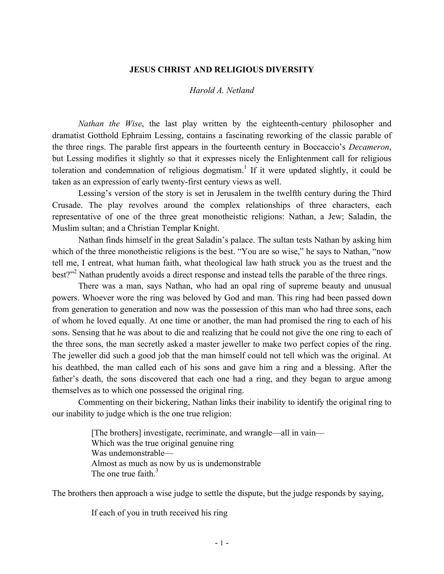#### **JESUS CHRIST AND RELIGIOUS DIVERSITY**

#### *Harold A. Netland*

*Nathan the Wise*, the last play written by the eighteenth-century philosopher and dramatist Gotthold Ephraim Lessing, contains a fascinating reworking of the classic parable of the three rings. The parable first appears in the fourteenth century in Boccaccio's *Decameron*, but Lessing modifies it slightly so that it expresses nicely the Enlightenment call for religious toleration and condemnation of religious dogmatism.<sup>1</sup> If it were updated slightly, it could be taken as an expression of early twenty-first century views as well.

Lessing's version of the story is set in Jerusalem in the twelfth century during the Third Crusade. The play revolves around the complex relationships of three characters, each representative of one of the three great monotheistic religions: Nathan, a Jew; Saladin, the Muslim sultan; and a Christian Templar Knight.

Nathan finds himself in the great Saladin's palace. The sultan tests Nathan by asking him which of the three monotheistic religions is the best. "You are so wise," he says to Nathan, "now tell me, I entreat, what human faith, what theological law hath struck you as the truest and the best?"<sup>2</sup> Nathan prudently avoids a direct response and instead tells the parable of the three rings.

There was a man, says Nathan, who had an opal ring of supreme beauty and unusual powers. Whoever wore the ring was beloved by God and man. This ring had been passed down from generation to generation and now was the possession of this man who had three sons, each of whom he loved equally. At one time or another, the man had promised the ring to each of his sons. Sensing that he was about to die and realizing that he could not give the one ring to each of the three sons, the man secretly asked a master jeweller to make two perfect copies of the ring. The jeweller did such a good job that the man himself could not tell which was the original. At his deathbed, the man called each of his sons and gave him a ring and a blessing. After the father's death, the sons discovered that each one had a ring, and they began to argue among themselves as to which one possessed the original ring.

Commenting on their bickering, Nathan links their inability to identify the original ring to our inability to judge which is the one true religion:

> [The brothers] investigate, recriminate, and wrangle—all in vain— Which was the true original genuine ring Was undemonstrable— Almost as much as now by us is undemonstrable The one true faith  $3$

The brothers then approach a wise judge to settle the dispute, but the judge responds by saying,

If each of you in truth received his ring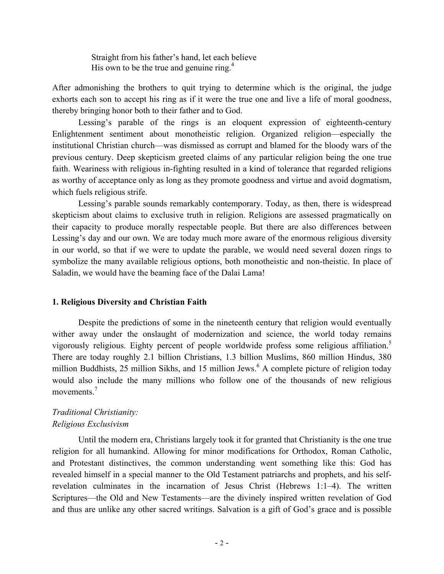Straight from his father's hand, let each believe His own to be the true and genuine ring. $4$ 

After admonishing the brothers to quit trying to determine which is the original, the judge exhorts each son to accept his ring as if it were the true one and live a life of moral goodness, thereby bringing honor both to their father and to God.

Lessing's parable of the rings is an eloquent expression of eighteenth-century Enlightenment sentiment about monotheistic religion. Organized religion—especially the institutional Christian church—was dismissed as corrupt and blamed for the bloody wars of the previous century. Deep skepticism greeted claims of any particular religion being the one true faith. Weariness with religious in-fighting resulted in a kind of tolerance that regarded religions as worthy of acceptance only as long as they promote goodness and virtue and avoid dogmatism, which fuels religious strife.

Lessing's parable sounds remarkably contemporary. Today, as then, there is widespread skepticism about claims to exclusive truth in religion. Religions are assessed pragmatically on their capacity to produce morally respectable people. But there are also differences between Lessing's day and our own. We are today much more aware of the enormous religious diversity in our world, so that if we were to update the parable, we would need several dozen rings to symbolize the many available religious options, both monotheistic and non-theistic. In place of Saladin, we would have the beaming face of the Dalai Lama!

### **1. Religious Diversity and Christian Faith**

Despite the predictions of some in the nineteenth century that religion would eventually wither away under the onslaught of modernization and science, the world today remains vigorously religious. Eighty percent of people worldwide profess some religious affiliation.<sup>5</sup> There are today roughly 2.1 billion Christians, 1.3 billion Muslims, 860 million Hindus, 380 million Buddhists, 25 million Sikhs, and 15 million Jews.<sup>6</sup> A complete picture of religion today would also include the many millions who follow one of the thousands of new religious movements.<sup>7</sup>

## *Traditional Christianity: Religious Exclusivism*

Until the modern era, Christians largely took it for granted that Christianity is the one true religion for all humankind. Allowing for minor modifications for Orthodox, Roman Catholic, and Protestant distinctives, the common understanding went something like this: God has revealed himself in a special manner to the Old Testament patriarchs and prophets, and his selfrevelation culminates in the incarnation of Jesus Christ (Hebrews 1:1–4). The written Scriptures—the Old and New Testaments—are the divinely inspired written revelation of God and thus are unlike any other sacred writings. Salvation is a gift of God's grace and is possible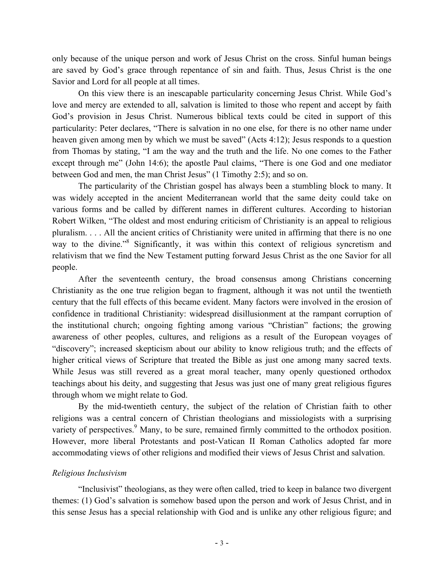only because of the unique person and work of Jesus Christ on the cross. Sinful human beings are saved by God's grace through repentance of sin and faith. Thus, Jesus Christ is the one Savior and Lord for all people at all times.

On this view there is an inescapable particularity concerning Jesus Christ. While God's love and mercy are extended to all, salvation is limited to those who repent and accept by faith God's provision in Jesus Christ. Numerous biblical texts could be cited in support of this particularity: Peter declares, "There is salvation in no one else, for there is no other name under heaven given among men by which we must be saved" (Acts 4:12); Jesus responds to a question from Thomas by stating, "I am the way and the truth and the life. No one comes to the Father except through me" (John 14:6); the apostle Paul claims, "There is one God and one mediator between God and men, the man Christ Jesus" (1 Timothy 2:5); and so on.

The particularity of the Christian gospel has always been a stumbling block to many. It was widely accepted in the ancient Mediterranean world that the same deity could take on various forms and be called by different names in different cultures. According to historian Robert Wilken, "The oldest and most enduring criticism of Christianity is an appeal to religious pluralism. . . . All the ancient critics of Christianity were united in affirming that there is no one way to the divine."<sup>8</sup> Significantly, it was within this context of religious syncretism and relativism that we find the New Testament putting forward Jesus Christ as the one Savior for all people.

After the seventeenth century, the broad consensus among Christians concerning Christianity as the one true religion began to fragment, although it was not until the twentieth century that the full effects of this became evident. Many factors were involved in the erosion of confidence in traditional Christianity: widespread disillusionment at the rampant corruption of the institutional church; ongoing fighting among various "Christian" factions; the growing awareness of other peoples, cultures, and religions as a result of the European voyages of "discovery"; increased skepticism about our ability to know religious truth; and the effects of higher critical views of Scripture that treated the Bible as just one among many sacred texts. While Jesus was still revered as a great moral teacher, many openly questioned orthodox teachings about his deity, and suggesting that Jesus was just one of many great religious figures through whom we might relate to God.

By the mid-twentieth century, the subject of the relation of Christian faith to other religions was a central concern of Christian theologians and missiologists with a surprising variety of perspectives.<sup>9</sup> Many, to be sure, remained firmly committed to the orthodox position. However, more liberal Protestants and post-Vatican II Roman Catholics adopted far more accommodating views of other religions and modified their views of Jesus Christ and salvation.

#### *Religious Inclusivism*

"Inclusivist" theologians, as they were often called, tried to keep in balance two divergent themes: (1) God's salvation is somehow based upon the person and work of Jesus Christ, and in this sense Jesus has a special relationship with God and is unlike any other religious figure; and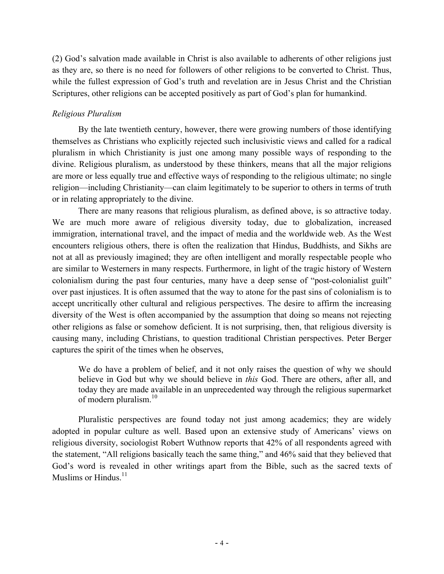(2) God's salvation made available in Christ is also available to adherents of other religions just as they are, so there is no need for followers of other religions to be converted to Christ. Thus, while the fullest expression of God's truth and revelation are in Jesus Christ and the Christian Scriptures, other religions can be accepted positively as part of God's plan for humankind.

#### *Religious Pluralism*

By the late twentieth century, however, there were growing numbers of those identifying themselves as Christians who explicitly rejected such inclusivistic views and called for a radical pluralism in which Christianity is just one among many possible ways of responding to the divine. Religious pluralism, as understood by these thinkers, means that all the major religions are more or less equally true and effective ways of responding to the religious ultimate; no single religion—including Christianity—can claim legitimately to be superior to others in terms of truth or in relating appropriately to the divine.

There are many reasons that religious pluralism, as defined above, is so attractive today. We are much more aware of religious diversity today, due to globalization, increased immigration, international travel, and the impact of media and the worldwide web. As the West encounters religious others, there is often the realization that Hindus, Buddhists, and Sikhs are not at all as previously imagined; they are often intelligent and morally respectable people who are similar to Westerners in many respects. Furthermore, in light of the tragic history of Western colonialism during the past four centuries, many have a deep sense of "post-colonialist guilt" over past injustices. It is often assumed that the way to atone for the past sins of colonialism is to accept uncritically other cultural and religious perspectives. The desire to affirm the increasing diversity of the West is often accompanied by the assumption that doing so means not rejecting other religions as false or somehow deficient. It is not surprising, then, that religious diversity is causing many, including Christians, to question traditional Christian perspectives. Peter Berger captures the spirit of the times when he observes,

We do have a problem of belief, and it not only raises the question of why we should believe in God but why we should believe in *this* God. There are others, after all, and today they are made available in an unprecedented way through the religious supermarket of modern pluralism. $10$ 

Pluralistic perspectives are found today not just among academics; they are widely adopted in popular culture as well. Based upon an extensive study of Americans' views on religious diversity, sociologist Robert Wuthnow reports that 42% of all respondents agreed with the statement, "All religions basically teach the same thing," and 46% said that they believed that God's word is revealed in other writings apart from the Bible, such as the sacred texts of Muslims or Hindus. $11$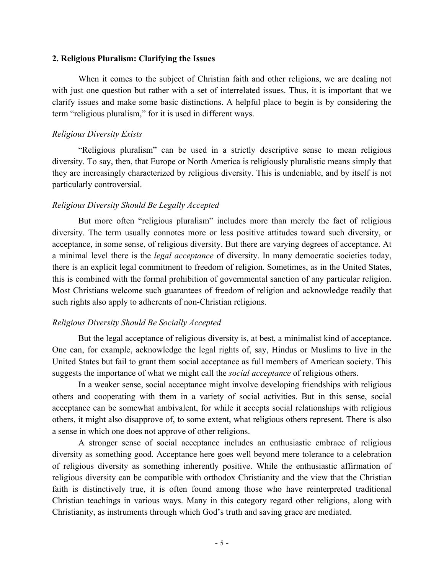#### **2. Religious Pluralism: Clarifying the Issues**

When it comes to the subject of Christian faith and other religions, we are dealing not with just one question but rather with a set of interrelated issues. Thus, it is important that we clarify issues and make some basic distinctions. A helpful place to begin is by considering the term "religious pluralism," for it is used in different ways.

### *Religious Diversity Exists*

"Religious pluralism" can be used in a strictly descriptive sense to mean religious diversity. To say, then, that Europe or North America is religiously pluralistic means simply that they are increasingly characterized by religious diversity. This is undeniable, and by itself is not particularly controversial.

### *Religious Diversity Should Be Legally Accepted*

But more often "religious pluralism" includes more than merely the fact of religious diversity. The term usually connotes more or less positive attitudes toward such diversity, or acceptance, in some sense, of religious diversity. But there are varying degrees of acceptance. At a minimal level there is the *legal acceptance* of diversity. In many democratic societies today, there is an explicit legal commitment to freedom of religion. Sometimes, as in the United States, this is combined with the formal prohibition of governmental sanction of any particular religion. Most Christians welcome such guarantees of freedom of religion and acknowledge readily that such rights also apply to adherents of non-Christian religions.

### *Religious Diversity Should Be Socially Accepted*

But the legal acceptance of religious diversity is, at best, a minimalist kind of acceptance. One can, for example, acknowledge the legal rights of, say, Hindus or Muslims to live in the United States but fail to grant them social acceptance as full members of American society. This suggests the importance of what we might call the *social acceptance* of religious others.

In a weaker sense, social acceptance might involve developing friendships with religious others and cooperating with them in a variety of social activities. But in this sense, social acceptance can be somewhat ambivalent, for while it accepts social relationships with religious others, it might also disapprove of, to some extent, what religious others represent. There is also a sense in which one does not approve of other religions.

A stronger sense of social acceptance includes an enthusiastic embrace of religious diversity as something good. Acceptance here goes well beyond mere tolerance to a celebration of religious diversity as something inherently positive. While the enthusiastic affirmation of religious diversity can be compatible with orthodox Christianity and the view that the Christian faith is distinctively true, it is often found among those who have reinterpreted traditional Christian teachings in various ways. Many in this category regard other religions, along with Christianity, as instruments through which God's truth and saving grace are mediated.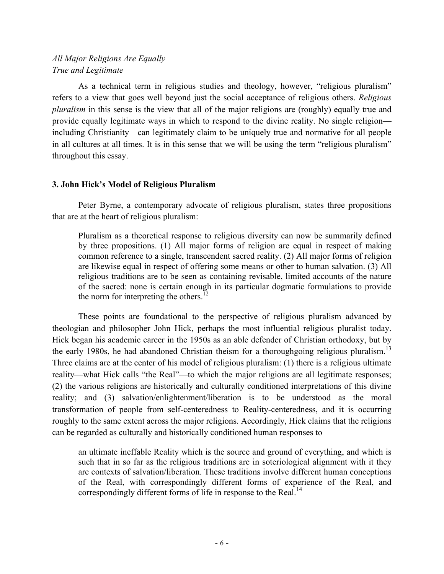# *All Major Religions Are Equally True and Legitimate*

As a technical term in religious studies and theology, however, "religious pluralism" refers to a view that goes well beyond just the social acceptance of religious others. *Religious pluralism* in this sense is the view that all of the major religions are (roughly) equally true and provide equally legitimate ways in which to respond to the divine reality. No single religion including Christianity—can legitimately claim to be uniquely true and normative for all people in all cultures at all times. It is in this sense that we will be using the term "religious pluralism" throughout this essay.

### **3. John Hick's Model of Religious Pluralism**

Peter Byrne, a contemporary advocate of religious pluralism, states three propositions that are at the heart of religious pluralism:

Pluralism as a theoretical response to religious diversity can now be summarily defined by three propositions. (1) All major forms of religion are equal in respect of making common reference to a single, transcendent sacred reality. (2) All major forms of religion are likewise equal in respect of offering some means or other to human salvation. (3) All religious traditions are to be seen as containing revisable, limited accounts of the nature of the sacred: none is certain enough in its particular dogmatic formulations to provide the norm for interpreting the others.<sup>12</sup>

These points are foundational to the perspective of religious pluralism advanced by theologian and philosopher John Hick, perhaps the most influential religious pluralist today. Hick began his academic career in the 1950s as an able defender of Christian orthodoxy, but by the early 1980s, he had abandoned Christian theism for a thoroughgoing religious pluralism.<sup>13</sup> Three claims are at the center of his model of religious pluralism: (1) there is a religious ultimate reality—what Hick calls "the Real"—to which the major religions are all legitimate responses; (2) the various religions are historically and culturally conditioned interpretations of this divine reality; and (3) salvation/enlightenment/liberation is to be understood as the moral transformation of people from self-centeredness to Reality-centeredness, and it is occurring roughly to the same extent across the major religions. Accordingly, Hick claims that the religions can be regarded as culturally and historically conditioned human responses to

an ultimate ineffable Reality which is the source and ground of everything, and which is such that in so far as the religious traditions are in soteriological alignment with it they are contexts of salvation/liberation. These traditions involve different human conceptions of the Real, with correspondingly different forms of experience of the Real, and correspondingly different forms of life in response to the Real.<sup>14</sup>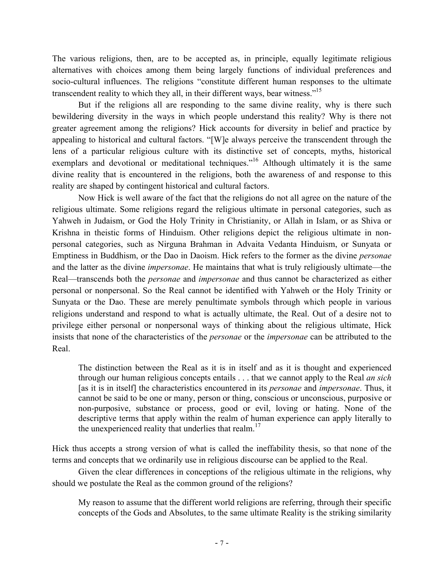The various religions, then, are to be accepted as, in principle, equally legitimate religious alternatives with choices among them being largely functions of individual preferences and socio-cultural influences. The religions "constitute different human responses to the ultimate transcendent reality to which they all, in their different ways, bear witness."<sup>15</sup>

But if the religions all are responding to the same divine reality, why is there such bewildering diversity in the ways in which people understand this reality? Why is there not greater agreement among the religions? Hick accounts for diversity in belief and practice by appealing to historical and cultural factors. "[W]e always perceive the transcendent through the lens of a particular religious culture with its distinctive set of concepts, myths, historical exemplars and devotional or meditational techniques."<sup>16</sup> Although ultimately it is the same divine reality that is encountered in the religions, both the awareness of and response to this reality are shaped by contingent historical and cultural factors.

Now Hick is well aware of the fact that the religions do not all agree on the nature of the religious ultimate. Some religions regard the religious ultimate in personal categories, such as Yahweh in Judaism, or God the Holy Trinity in Christianity, or Allah in Islam, or as Shiva or Krishna in theistic forms of Hinduism. Other religions depict the religious ultimate in nonpersonal categories, such as Nirguna Brahman in Advaita Vedanta Hinduism, or Sunyata or Emptiness in Buddhism, or the Dao in Daoism. Hick refers to the former as the divine *personae* and the latter as the divine *impersonae*. He maintains that what is truly religiously ultimate—the Real—transcends both the *personae* and *impersonae* and thus cannot be characterized as either personal or nonpersonal. So the Real cannot be identified with Yahweh or the Holy Trinity or Sunyata or the Dao. These are merely penultimate symbols through which people in various religions understand and respond to what is actually ultimate, the Real. Out of a desire not to privilege either personal or nonpersonal ways of thinking about the religious ultimate, Hick insists that none of the characteristics of the *personae* or the *impersonae* can be attributed to the Real.

The distinction between the Real as it is in itself and as it is thought and experienced through our human religious concepts entails . . . that we cannot apply to the Real *an sich* [as it is in itself] the characteristics encountered in its *personae* and *impersonae*. Thus, it cannot be said to be one or many, person or thing, conscious or unconscious, purposive or non-purposive, substance or process, good or evil, loving or hating. None of the descriptive terms that apply within the realm of human experience can apply literally to the unexperienced reality that underlies that realm.<sup>17</sup>

Hick thus accepts a strong version of what is called the ineffability thesis, so that none of the terms and concepts that we ordinarily use in religious discourse can be applied to the Real.

Given the clear differences in conceptions of the religious ultimate in the religions, why should we postulate the Real as the common ground of the religions?

My reason to assume that the different world religions are referring, through their specific concepts of the Gods and Absolutes, to the same ultimate Reality is the striking similarity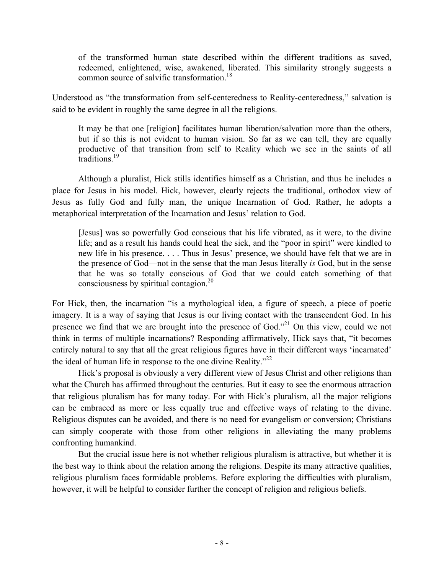of the transformed human state described within the different traditions as saved, redeemed, enlightened, wise, awakened, liberated. This similarity strongly suggests a common source of salvific transformation.<sup>18</sup>

Understood as "the transformation from self-centeredness to Reality-centeredness," salvation is said to be evident in roughly the same degree in all the religions.

It may be that one [religion] facilitates human liberation/salvation more than the others, but if so this is not evident to human vision. So far as we can tell, they are equally productive of that transition from self to Reality which we see in the saints of all traditions.<sup>19</sup>

Although a pluralist, Hick stills identifies himself as a Christian, and thus he includes a place for Jesus in his model. Hick, however, clearly rejects the traditional, orthodox view of Jesus as fully God and fully man, the unique Incarnation of God. Rather, he adopts a metaphorical interpretation of the Incarnation and Jesus' relation to God.

[Jesus] was so powerfully God conscious that his life vibrated, as it were, to the divine life; and as a result his hands could heal the sick, and the "poor in spirit" were kindled to new life in his presence. . . . Thus in Jesus' presence, we should have felt that we are in the presence of God—not in the sense that the man Jesus literally *is* God, but in the sense that he was so totally conscious of God that we could catch something of that consciousness by spiritual contagion.20

For Hick, then, the incarnation "is a mythological idea, a figure of speech, a piece of poetic imagery. It is a way of saying that Jesus is our living contact with the transcendent God. In his presence we find that we are brought into the presence of God.<sup>221</sup> On this view, could we not think in terms of multiple incarnations? Responding affirmatively, Hick says that, "it becomes entirely natural to say that all the great religious figures have in their different ways 'incarnated' the ideal of human life in response to the one divine Reality."<sup>22</sup>

Hick's proposal is obviously a very different view of Jesus Christ and other religions than what the Church has affirmed throughout the centuries. But it easy to see the enormous attraction that religious pluralism has for many today. For with Hick's pluralism, all the major religions can be embraced as more or less equally true and effective ways of relating to the divine. Religious disputes can be avoided, and there is no need for evangelism or conversion; Christians can simply cooperate with those from other religions in alleviating the many problems confronting humankind.

But the crucial issue here is not whether religious pluralism is attractive, but whether it is the best way to think about the relation among the religions. Despite its many attractive qualities, religious pluralism faces formidable problems. Before exploring the difficulties with pluralism, however, it will be helpful to consider further the concept of religion and religious beliefs.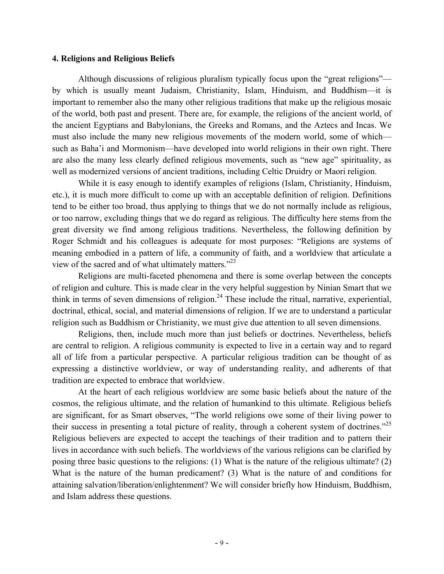#### **4. Religions and Religious Beliefs**

Although discussions of religious pluralism typically focus upon the "great religions" by which is usually meant Judaism, Christianity, Islam, Hinduism, and Buddhism—it is important to remember also the many other religious traditions that make up the religious mosaic of the world, both past and present. There are, for example, the religions of the ancient world, of the ancient Egyptians and Babylonians, the Greeks and Romans, and the Aztecs and Incas. We must also include the many new religious movements of the modern world, some of which such as Baha'i and Mormonism—have developed into world religions in their own right. There are also the many less clearly defined religious movements, such as "new age" spirituality, as well as modernized versions of ancient traditions, including Celtic Druidry or Maori religion.

While it is easy enough to identify examples of religions (Islam, Christianity, Hinduism, etc.), it is much more difficult to come up with an acceptable definition of religion. Definitions tend to be either too broad, thus applying to things that we do not normally include as religious, or too narrow, excluding things that we do regard as religious. The difficulty here stems from the great diversity we find among religious traditions. Nevertheless, the following definition by Roger Schmidt and his colleagues is adequate for most purposes: "Religions are systems of meaning embodied in a pattern of life, a community of faith, and a worldview that articulate a view of the sacred and of what ultimately matters."<sup>23</sup>

Religions are multi-faceted phenomena and there is some overlap between the concepts of religion and culture. This is made clear in the very helpful suggestion by Ninian Smart that we think in terms of seven dimensions of religion.<sup>24</sup> These include the ritual, narrative, experiential, doctrinal, ethical, social, and material dimensions of religion. If we are to understand a particular religion such as Buddhism or Christianity, we must give due attention to all seven dimensions.

Religions, then, include much more than just beliefs or doctrines. Nevertheless, beliefs are central to religion. A religious community is expected to live in a certain way and to regard all of life from a particular perspective. A particular religious tradition can be thought of as expressing a distinctive worldview, or way of understanding reality, and adherents of that tradition are expected to embrace that worldview.

At the heart of each religious worldview are some basic beliefs about the nature of the cosmos, the religious ultimate, and the relation of humankind to this ultimate. Religious beliefs are significant, for as Smart observes, "The world religions owe some of their living power to their success in presenting a total picture of reality, through a coherent system of doctrines."<sup>25</sup> Religious believers are expected to accept the teachings of their tradition and to pattern their lives in accordance with such beliefs. The worldviews of the various religions can be clarified by posing three basic questions to the religions: (1) What is the nature of the religious ultimate? (2) What is the nature of the human predicament? (3) What is the nature of and conditions for attaining salvation/liberation/enlightenment? We will consider briefly how Hinduism, Buddhism, and Islam address these questions.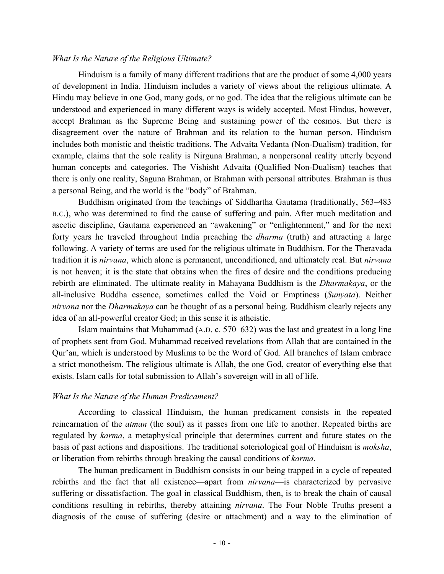#### *What Is the Nature of the Religious Ultimate?*

Hinduism is a family of many different traditions that are the product of some 4,000 years of development in India. Hinduism includes a variety of views about the religious ultimate. A Hindu may believe in one God, many gods, or no god. The idea that the religious ultimate can be understood and experienced in many different ways is widely accepted. Most Hindus, however, accept Brahman as the Supreme Being and sustaining power of the cosmos. But there is disagreement over the nature of Brahman and its relation to the human person. Hinduism includes both monistic and theistic traditions. The Advaita Vedanta (Non-Dualism) tradition, for example, claims that the sole reality is Nirguna Brahman, a nonpersonal reality utterly beyond human concepts and categories. The Vishisht Advaita (Qualified Non-Dualism) teaches that there is only one reality, Saguna Brahman, or Brahman with personal attributes. Brahman is thus a personal Being, and the world is the "body" of Brahman.

Buddhism originated from the teachings of Siddhartha Gautama (traditionally, 563–483 B.C.), who was determined to find the cause of suffering and pain. After much meditation and ascetic discipline, Gautama experienced an "awakening" or "enlightenment," and for the next forty years he traveled throughout India preaching the *dharma* (truth) and attracting a large following. A variety of terms are used for the religious ultimate in Buddhism. For the Theravada tradition it is *nirvana*, which alone is permanent, unconditioned, and ultimately real. But *nirvana* is not heaven; it is the state that obtains when the fires of desire and the conditions producing rebirth are eliminated. The ultimate reality in Mahayana Buddhism is the *Dharmakaya*, or the all-inclusive Buddha essence, sometimes called the Void or Emptiness (*Sunyata*). Neither *nirvana* nor the *Dharmakaya* can be thought of as a personal being. Buddhism clearly rejects any idea of an all-powerful creator God; in this sense it is atheistic.

Islam maintains that Muhammad (A.D. c. 570–632) was the last and greatest in a long line of prophets sent from God. Muhammad received revelations from Allah that are contained in the Qur'an, which is understood by Muslims to be the Word of God. All branches of Islam embrace a strict monotheism. The religious ultimate is Allah, the one God, creator of everything else that exists. Islam calls for total submission to Allah's sovereign will in all of life.

#### *What Is the Nature of the Human Predicament?*

According to classical Hinduism, the human predicament consists in the repeated reincarnation of the *atman* (the soul) as it passes from one life to another. Repeated births are regulated by *karma*, a metaphysical principle that determines current and future states on the basis of past actions and dispositions. The traditional soteriological goal of Hinduism is *moksha*, or liberation from rebirths through breaking the causal conditions of *karma*.

The human predicament in Buddhism consists in our being trapped in a cycle of repeated rebirths and the fact that all existence—apart from *nirvana*—is characterized by pervasive suffering or dissatisfaction. The goal in classical Buddhism, then, is to break the chain of causal conditions resulting in rebirths, thereby attaining *nirvana*. The Four Noble Truths present a diagnosis of the cause of suffering (desire or attachment) and a way to the elimination of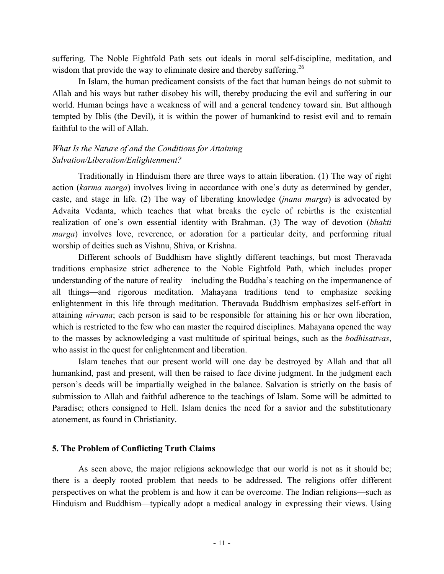suffering. The Noble Eightfold Path sets out ideals in moral self-discipline, meditation, and wisdom that provide the way to eliminate desire and thereby suffering.<sup>26</sup>

In Islam, the human predicament consists of the fact that human beings do not submit to Allah and his ways but rather disobey his will, thereby producing the evil and suffering in our world. Human beings have a weakness of will and a general tendency toward sin. But although tempted by Iblis (the Devil), it is within the power of humankind to resist evil and to remain faithful to the will of Allah.

# *What Is the Nature of and the Conditions for Attaining Salvation/Liberation/Enlightenment?*

Traditionally in Hinduism there are three ways to attain liberation. (1) The way of right action (*karma marga*) involves living in accordance with one's duty as determined by gender, caste, and stage in life. (2) The way of liberating knowledge (*jnana marga*) is advocated by Advaita Vedanta, which teaches that what breaks the cycle of rebirths is the existential realization of one's own essential identity with Brahman. (3) The way of devotion (*bhakti marga*) involves love, reverence, or adoration for a particular deity, and performing ritual worship of deities such as Vishnu, Shiva, or Krishna.

Different schools of Buddhism have slightly different teachings, but most Theravada traditions emphasize strict adherence to the Noble Eightfold Path, which includes proper understanding of the nature of reality—including the Buddha's teaching on the impermanence of all things—and rigorous meditation. Mahayana traditions tend to emphasize seeking enlightenment in this life through meditation. Theravada Buddhism emphasizes self-effort in attaining *nirvana*; each person is said to be responsible for attaining his or her own liberation, which is restricted to the few who can master the required disciplines. Mahayana opened the way to the masses by acknowledging a vast multitude of spiritual beings, such as the *bodhisattvas*, who assist in the quest for enlightenment and liberation.

Islam teaches that our present world will one day be destroyed by Allah and that all humankind, past and present, will then be raised to face divine judgment. In the judgment each person's deeds will be impartially weighed in the balance. Salvation is strictly on the basis of submission to Allah and faithful adherence to the teachings of Islam. Some will be admitted to Paradise; others consigned to Hell. Islam denies the need for a savior and the substitutionary atonement, as found in Christianity.

#### **5. The Problem of Conflicting Truth Claims**

As seen above, the major religions acknowledge that our world is not as it should be; there is a deeply rooted problem that needs to be addressed. The religions offer different perspectives on what the problem is and how it can be overcome. The Indian religions—such as Hinduism and Buddhism—typically adopt a medical analogy in expressing their views. Using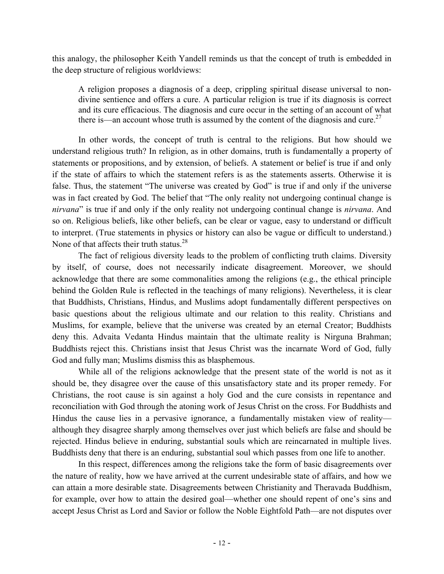this analogy, the philosopher Keith Yandell reminds us that the concept of truth is embedded in the deep structure of religious worldviews:

A religion proposes a diagnosis of a deep, crippling spiritual disease universal to nondivine sentience and offers a cure. A particular religion is true if its diagnosis is correct and its cure efficacious. The diagnosis and cure occur in the setting of an account of what there is—an account whose truth is assumed by the content of the diagnosis and cure.<sup>27</sup>

In other words, the concept of truth is central to the religions. But how should we understand religious truth? In religion, as in other domains, truth is fundamentally a property of statements or propositions, and by extension, of beliefs. A statement or belief is true if and only if the state of affairs to which the statement refers is as the statements asserts. Otherwise it is false. Thus, the statement "The universe was created by God" is true if and only if the universe was in fact created by God. The belief that "The only reality not undergoing continual change is *nirvana*" is true if and only if the only reality not undergoing continual change is *nirvana*. And so on. Religious beliefs, like other beliefs, can be clear or vague, easy to understand or difficult to interpret. (True statements in physics or history can also be vague or difficult to understand.) None of that affects their truth status.<sup>28</sup>

The fact of religious diversity leads to the problem of conflicting truth claims. Diversity by itself, of course, does not necessarily indicate disagreement. Moreover, we should acknowledge that there are some commonalities among the religions (e.g., the ethical principle behind the Golden Rule is reflected in the teachings of many religions). Nevertheless, it is clear that Buddhists, Christians, Hindus, and Muslims adopt fundamentally different perspectives on basic questions about the religious ultimate and our relation to this reality. Christians and Muslims, for example, believe that the universe was created by an eternal Creator; Buddhists deny this. Advaita Vedanta Hindus maintain that the ultimate reality is Nirguna Brahman; Buddhists reject this. Christians insist that Jesus Christ was the incarnate Word of God, fully God and fully man; Muslims dismiss this as blasphemous.

While all of the religions acknowledge that the present state of the world is not as it should be, they disagree over the cause of this unsatisfactory state and its proper remedy. For Christians, the root cause is sin against a holy God and the cure consists in repentance and reconciliation with God through the atoning work of Jesus Christ on the cross. For Buddhists and Hindus the cause lies in a pervasive ignorance, a fundamentally mistaken view of reality although they disagree sharply among themselves over just which beliefs are false and should be rejected. Hindus believe in enduring, substantial souls which are reincarnated in multiple lives. Buddhists deny that there is an enduring, substantial soul which passes from one life to another.

In this respect, differences among the religions take the form of basic disagreements over the nature of reality, how we have arrived at the current undesirable state of affairs, and how we can attain a more desirable state. Disagreements between Christianity and Theravada Buddhism, for example, over how to attain the desired goal—whether one should repent of one's sins and accept Jesus Christ as Lord and Savior or follow the Noble Eightfold Path—are not disputes over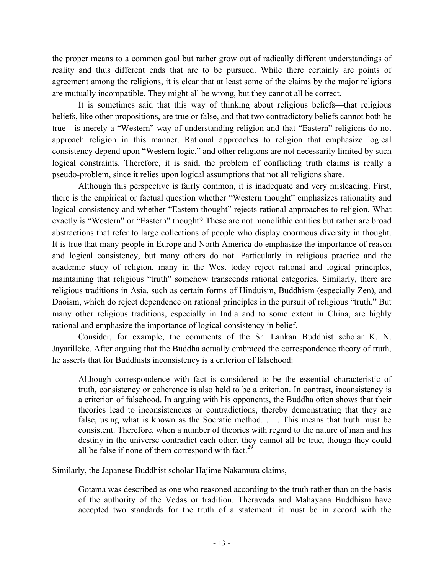the proper means to a common goal but rather grow out of radically different understandings of reality and thus different ends that are to be pursued. While there certainly are points of agreement among the religions, it is clear that at least some of the claims by the major religions are mutually incompatible. They might all be wrong, but they cannot all be correct.

It is sometimes said that this way of thinking about religious beliefs—that religious beliefs, like other propositions, are true or false, and that two contradictory beliefs cannot both be true—is merely a "Western" way of understanding religion and that "Eastern" religions do not approach religion in this manner. Rational approaches to religion that emphasize logical consistency depend upon "Western logic," and other religions are not necessarily limited by such logical constraints. Therefore, it is said, the problem of conflicting truth claims is really a pseudo-problem, since it relies upon logical assumptions that not all religions share.

Although this perspective is fairly common, it is inadequate and very misleading. First, there is the empirical or factual question whether "Western thought" emphasizes rationality and logical consistency and whether "Eastern thought" rejects rational approaches to religion. What exactly is "Western" or "Eastern" thought? These are not monolithic entities but rather are broad abstractions that refer to large collections of people who display enormous diversity in thought. It is true that many people in Europe and North America do emphasize the importance of reason and logical consistency, but many others do not. Particularly in religious practice and the academic study of religion, many in the West today reject rational and logical principles, maintaining that religious "truth" somehow transcends rational categories. Similarly, there are religious traditions in Asia, such as certain forms of Hinduism, Buddhism (especially Zen), and Daoism, which do reject dependence on rational principles in the pursuit of religious "truth." But many other religious traditions, especially in India and to some extent in China, are highly rational and emphasize the importance of logical consistency in belief.

Consider, for example, the comments of the Sri Lankan Buddhist scholar K. N. Jayatilleke. After arguing that the Buddha actually embraced the correspondence theory of truth, he asserts that for Buddhists inconsistency is a criterion of falsehood:

Although correspondence with fact is considered to be the essential characteristic of truth, consistency or coherence is also held to be a criterion. In contrast, inconsistency is a criterion of falsehood. In arguing with his opponents, the Buddha often shows that their theories lead to inconsistencies or contradictions, thereby demonstrating that they are false, using what is known as the Socratic method. . . . This means that truth must be consistent. Therefore, when a number of theories with regard to the nature of man and his destiny in the universe contradict each other, they cannot all be true, though they could all be false if none of them correspond with fact.<sup>29</sup>

Similarly, the Japanese Buddhist scholar Hajime Nakamura claims,

Gotama was described as one who reasoned according to the truth rather than on the basis of the authority of the Vedas or tradition. Theravada and Mahayana Buddhism have accepted two standards for the truth of a statement: it must be in accord with the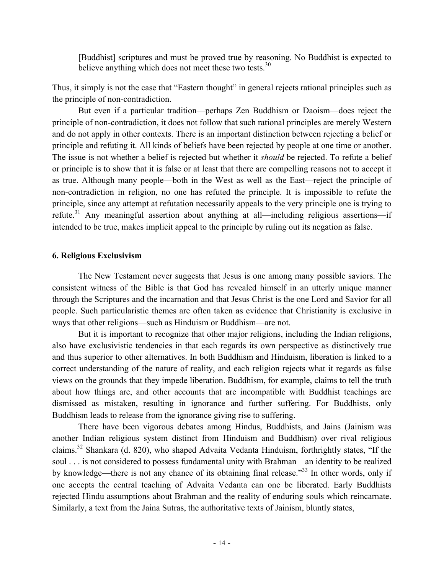[Buddhist] scriptures and must be proved true by reasoning. No Buddhist is expected to believe anything which does not meet these two tests. $30$ 

Thus, it simply is not the case that "Eastern thought" in general rejects rational principles such as the principle of non-contradiction.

But even if a particular tradition—perhaps Zen Buddhism or Daoism—does reject the principle of non-contradiction, it does not follow that such rational principles are merely Western and do not apply in other contexts. There is an important distinction between rejecting a belief or principle and refuting it. All kinds of beliefs have been rejected by people at one time or another. The issue is not whether a belief is rejected but whether it *should* be rejected. To refute a belief or principle is to show that it is false or at least that there are compelling reasons not to accept it as true. Although many people—both in the West as well as the East—reject the principle of non-contradiction in religion, no one has refuted the principle. It is impossible to refute the principle, since any attempt at refutation necessarily appeals to the very principle one is trying to refute.<sup>31</sup> Any meaningful assertion about anything at all—including religious assertions—if intended to be true, makes implicit appeal to the principle by ruling out its negation as false.

#### **6. Religious Exclusivism**

The New Testament never suggests that Jesus is one among many possible saviors. The consistent witness of the Bible is that God has revealed himself in an utterly unique manner through the Scriptures and the incarnation and that Jesus Christ is the one Lord and Savior for all people. Such particularistic themes are often taken as evidence that Christianity is exclusive in ways that other religions—such as Hinduism or Buddhism—are not.

But it is important to recognize that other major religions, including the Indian religions, also have exclusivistic tendencies in that each regards its own perspective as distinctively true and thus superior to other alternatives. In both Buddhism and Hinduism, liberation is linked to a correct understanding of the nature of reality, and each religion rejects what it regards as false views on the grounds that they impede liberation. Buddhism, for example, claims to tell the truth about how things are, and other accounts that are incompatible with Buddhist teachings are dismissed as mistaken, resulting in ignorance and further suffering. For Buddhists, only Buddhism leads to release from the ignorance giving rise to suffering.

There have been vigorous debates among Hindus, Buddhists, and Jains (Jainism was another Indian religious system distinct from Hinduism and Buddhism) over rival religious claims.<sup>32</sup> Shankara (d. 820), who shaped Advaita Vedanta Hinduism, forthrightly states, "If the soul . . . is not considered to possess fundamental unity with Brahman—an identity to be realized by knowledge—there is not any chance of its obtaining final release."<sup>33</sup> In other words, only if one accepts the central teaching of Advaita Vedanta can one be liberated. Early Buddhists rejected Hindu assumptions about Brahman and the reality of enduring souls which reincarnate. Similarly, a text from the Jaina Sutras, the authoritative texts of Jainism, bluntly states,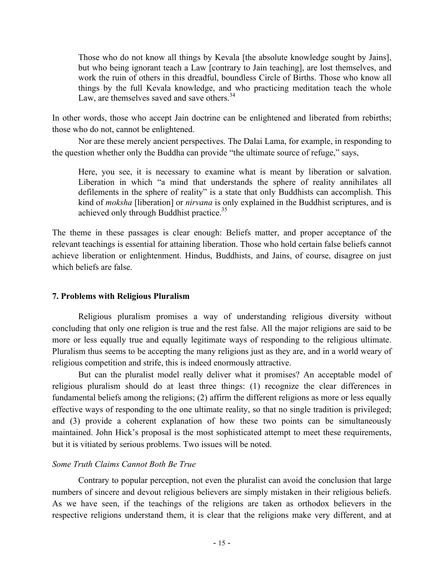Those who do not know all things by Kevala [the absolute knowledge sought by Jains], but who being ignorant teach a Law [contrary to Jain teaching], are lost themselves, and work the ruin of others in this dreadful, boundless Circle of Births. Those who know all things by the full Kevala knowledge, and who practicing meditation teach the whole Law, are themselves saved and save others.<sup>34</sup>

In other words, those who accept Jain doctrine can be enlightened and liberated from rebirths; those who do not, cannot be enlightened.

Nor are these merely ancient perspectives. The Dalai Lama, for example, in responding to the question whether only the Buddha can provide "the ultimate source of refuge," says,

Here, you see, it is necessary to examine what is meant by liberation or salvation. Liberation in which "a mind that understands the sphere of reality annihilates all defilements in the sphere of reality" is a state that only Buddhists can accomplish. This kind of *moksha* [liberation] or *nirvana* is only explained in the Buddhist scriptures, and is achieved only through Buddhist practice.<sup>35</sup>

The theme in these passages is clear enough: Beliefs matter, and proper acceptance of the relevant teachings is essential for attaining liberation. Those who hold certain false beliefs cannot achieve liberation or enlightenment. Hindus, Buddhists, and Jains, of course, disagree on just which beliefs are false.

### **7. Problems with Religious Pluralism**

Religious pluralism promises a way of understanding religious diversity without concluding that only one religion is true and the rest false. All the major religions are said to be more or less equally true and equally legitimate ways of responding to the religious ultimate. Pluralism thus seems to be accepting the many religions just as they are, and in a world weary of religious competition and strife, this is indeed enormously attractive.

But can the pluralist model really deliver what it promises? An acceptable model of religious pluralism should do at least three things: (1) recognize the clear differences in fundamental beliefs among the religions; (2) affirm the different religions as more or less equally effective ways of responding to the one ultimate reality, so that no single tradition is privileged; and (3) provide a coherent explanation of how these two points can be simultaneously maintained. John Hick's proposal is the most sophisticated attempt to meet these requirements, but it is vitiated by serious problems. Two issues will be noted.

### *Some Truth Claims Cannot Both Be True*

Contrary to popular perception, not even the pluralist can avoid the conclusion that large numbers of sincere and devout religious believers are simply mistaken in their religious beliefs. As we have seen, if the teachings of the religions are taken as orthodox believers in the respective religions understand them, it is clear that the religions make very different, and at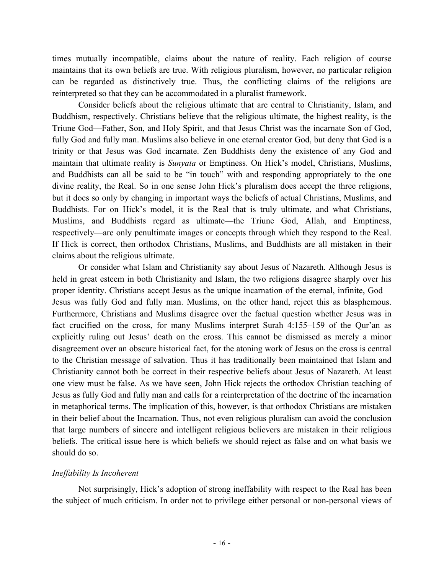times mutually incompatible, claims about the nature of reality. Each religion of course maintains that its own beliefs are true. With religious pluralism, however, no particular religion can be regarded as distinctively true. Thus, the conflicting claims of the religions are reinterpreted so that they can be accommodated in a pluralist framework.

Consider beliefs about the religious ultimate that are central to Christianity, Islam, and Buddhism, respectively. Christians believe that the religious ultimate, the highest reality, is the Triune God—Father, Son, and Holy Spirit, and that Jesus Christ was the incarnate Son of God, fully God and fully man. Muslims also believe in one eternal creator God, but deny that God is a trinity or that Jesus was God incarnate. Zen Buddhists deny the existence of any God and maintain that ultimate reality is *Sunyata* or Emptiness. On Hick's model, Christians, Muslims, and Buddhists can all be said to be "in touch" with and responding appropriately to the one divine reality, the Real. So in one sense John Hick's pluralism does accept the three religions, but it does so only by changing in important ways the beliefs of actual Christians, Muslims, and Buddhists. For on Hick's model, it is the Real that is truly ultimate, and what Christians, Muslims, and Buddhists regard as ultimate—the Triune God, Allah, and Emptiness, respectively—are only penultimate images or concepts through which they respond to the Real. If Hick is correct, then orthodox Christians, Muslims, and Buddhists are all mistaken in their claims about the religious ultimate.

Or consider what Islam and Christianity say about Jesus of Nazareth. Although Jesus is held in great esteem in both Christianity and Islam, the two religions disagree sharply over his proper identity. Christians accept Jesus as the unique incarnation of the eternal, infinite, God— Jesus was fully God and fully man. Muslims, on the other hand, reject this as blasphemous. Furthermore, Christians and Muslims disagree over the factual question whether Jesus was in fact crucified on the cross, for many Muslims interpret Surah 4:155–159 of the Qur'an as explicitly ruling out Jesus' death on the cross. This cannot be dismissed as merely a minor disagreement over an obscure historical fact, for the atoning work of Jesus on the cross is central to the Christian message of salvation. Thus it has traditionally been maintained that Islam and Christianity cannot both be correct in their respective beliefs about Jesus of Nazareth. At least one view must be false. As we have seen, John Hick rejects the orthodox Christian teaching of Jesus as fully God and fully man and calls for a reinterpretation of the doctrine of the incarnation in metaphorical terms. The implication of this, however, is that orthodox Christians are mistaken in their belief about the Incarnation. Thus, not even religious pluralism can avoid the conclusion that large numbers of sincere and intelligent religious believers are mistaken in their religious beliefs. The critical issue here is which beliefs we should reject as false and on what basis we should do so.

### *Ineffability Is Incoherent*

Not surprisingly, Hick's adoption of strong ineffability with respect to the Real has been the subject of much criticism. In order not to privilege either personal or non-personal views of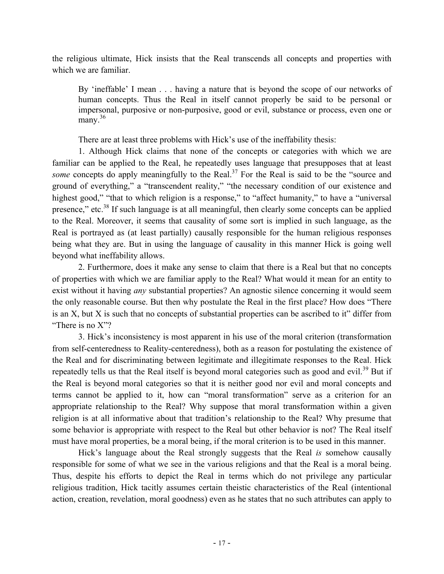the religious ultimate, Hick insists that the Real transcends all concepts and properties with which we are familiar.

By 'ineffable' I mean . . . having a nature that is beyond the scope of our networks of human concepts. Thus the Real in itself cannot properly be said to be personal or impersonal, purposive or non-purposive, good or evil, substance or process, even one or many. $36$ 

There are at least three problems with Hick's use of the ineffability thesis:

1. Although Hick claims that none of the concepts or categories with which we are familiar can be applied to the Real, he repeatedly uses language that presupposes that at least *some* concepts do apply meaningfully to the Real.<sup>37</sup> For the Real is said to be the "source and ground of everything," a "transcendent reality," "the necessary condition of our existence and highest good," "that to which religion is a response," to "affect humanity," to have a "universal" presence," etc.<sup>38</sup> If such language is at all meaningful, then clearly some concepts can be applied to the Real. Moreover, it seems that causality of some sort is implied in such language, as the Real is portrayed as (at least partially) causally responsible for the human religious responses being what they are. But in using the language of causality in this manner Hick is going well beyond what ineffability allows.

2. Furthermore, does it make any sense to claim that there is a Real but that no concepts of properties with which we are familiar apply to the Real? What would it mean for an entity to exist without it having *any* substantial properties? An agnostic silence concerning it would seem the only reasonable course. But then why postulate the Real in the first place? How does "There is an X, but X is such that no concepts of substantial properties can be ascribed to it" differ from "There is no X"?

3. Hick's inconsistency is most apparent in his use of the moral criterion (transformation from self-centeredness to Reality-centeredness), both as a reason for postulating the existence of the Real and for discriminating between legitimate and illegitimate responses to the Real. Hick repeatedly tells us that the Real itself is beyond moral categories such as good and evil.<sup>39</sup> But if the Real is beyond moral categories so that it is neither good nor evil and moral concepts and terms cannot be applied to it, how can "moral transformation" serve as a criterion for an appropriate relationship to the Real? Why suppose that moral transformation within a given religion is at all informative about that tradition's relationship to the Real? Why presume that some behavior is appropriate with respect to the Real but other behavior is not? The Real itself must have moral properties, be a moral being, if the moral criterion is to be used in this manner.

Hick's language about the Real strongly suggests that the Real *is* somehow causally responsible for some of what we see in the various religions and that the Real is a moral being. Thus, despite his efforts to depict the Real in terms which do not privilege any particular religious tradition, Hick tacitly assumes certain theistic characteristics of the Real (intentional action, creation, revelation, moral goodness) even as he states that no such attributes can apply to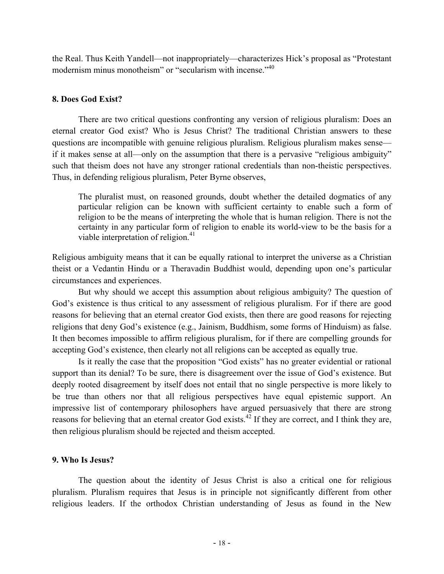the Real. Thus Keith Yandell—not inappropriately—characterizes Hick's proposal as "Protestant modernism minus monotheism" or "secularism with incense."<sup>40</sup>

### **8. Does God Exist?**

There are two critical questions confronting any version of religious pluralism: Does an eternal creator God exist? Who is Jesus Christ? The traditional Christian answers to these questions are incompatible with genuine religious pluralism. Religious pluralism makes sense if it makes sense at all—only on the assumption that there is a pervasive "religious ambiguity" such that theism does not have any stronger rational credentials than non-theistic perspectives. Thus, in defending religious pluralism, Peter Byrne observes,

The pluralist must, on reasoned grounds, doubt whether the detailed dogmatics of any particular religion can be known with sufficient certainty to enable such a form of religion to be the means of interpreting the whole that is human religion. There is not the certainty in any particular form of religion to enable its world-view to be the basis for a viable interpretation of religion.<sup>41</sup>

Religious ambiguity means that it can be equally rational to interpret the universe as a Christian theist or a Vedantin Hindu or a Theravadin Buddhist would, depending upon one's particular circumstances and experiences.

But why should we accept this assumption about religious ambiguity? The question of God's existence is thus critical to any assessment of religious pluralism. For if there are good reasons for believing that an eternal creator God exists, then there are good reasons for rejecting religions that deny God's existence (e.g., Jainism, Buddhism, some forms of Hinduism) as false. It then becomes impossible to affirm religious pluralism, for if there are compelling grounds for accepting God's existence, then clearly not all religions can be accepted as equally true.

Is it really the case that the proposition "God exists" has no greater evidential or rational support than its denial? To be sure, there is disagreement over the issue of God's existence. But deeply rooted disagreement by itself does not entail that no single perspective is more likely to be true than others nor that all religious perspectives have equal epistemic support. An impressive list of contemporary philosophers have argued persuasively that there are strong reasons for believing that an eternal creator God exists.<sup>42</sup> If they are correct, and I think they are, then religious pluralism should be rejected and theism accepted.

### **9. Who Is Jesus?**

The question about the identity of Jesus Christ is also a critical one for religious pluralism. Pluralism requires that Jesus is in principle not significantly different from other religious leaders. If the orthodox Christian understanding of Jesus as found in the New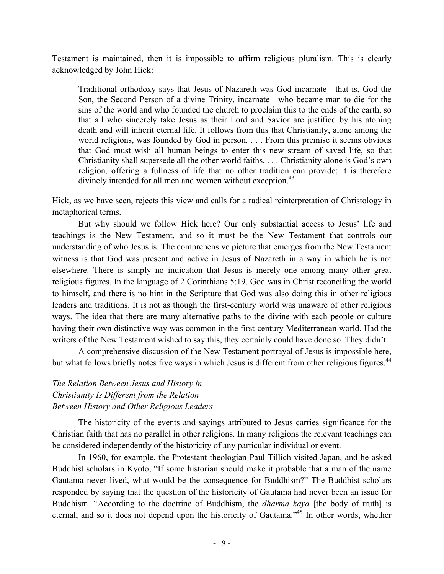Testament is maintained, then it is impossible to affirm religious pluralism. This is clearly acknowledged by John Hick:

Traditional orthodoxy says that Jesus of Nazareth was God incarnate—that is, God the Son, the Second Person of a divine Trinity, incarnate—who became man to die for the sins of the world and who founded the church to proclaim this to the ends of the earth, so that all who sincerely take Jesus as their Lord and Savior are justified by his atoning death and will inherit eternal life. It follows from this that Christianity, alone among the world religions, was founded by God in person. . . . From this premise it seems obvious that God must wish all human beings to enter this new stream of saved life, so that Christianity shall supersede all the other world faiths. . . . Christianity alone is God's own religion, offering a fullness of life that no other tradition can provide; it is therefore divinely intended for all men and women without exception.<sup>43</sup>

Hick, as we have seen, rejects this view and calls for a radical reinterpretation of Christology in metaphorical terms.

But why should we follow Hick here? Our only substantial access to Jesus' life and teachings is the New Testament, and so it must be the New Testament that controls our understanding of who Jesus is. The comprehensive picture that emerges from the New Testament witness is that God was present and active in Jesus of Nazareth in a way in which he is not elsewhere. There is simply no indication that Jesus is merely one among many other great religious figures. In the language of 2 Corinthians 5:19, God was in Christ reconciling the world to himself, and there is no hint in the Scripture that God was also doing this in other religious leaders and traditions. It is not as though the first-century world was unaware of other religious ways. The idea that there are many alternative paths to the divine with each people or culture having their own distinctive way was common in the first-century Mediterranean world. Had the writers of the New Testament wished to say this, they certainly could have done so. They didn't.

A comprehensive discussion of the New Testament portrayal of Jesus is impossible here, but what follows briefly notes five ways in which Jesus is different from other religious figures.<sup>44</sup>

# *The Relation Between Jesus and History in Christianity Is Different from the Relation Between History and Other Religious Leaders*

The historicity of the events and sayings attributed to Jesus carries significance for the Christian faith that has no parallel in other religions. In many religions the relevant teachings can be considered independently of the historicity of any particular individual or event.

In 1960, for example, the Protestant theologian Paul Tillich visited Japan, and he asked Buddhist scholars in Kyoto, "If some historian should make it probable that a man of the name Gautama never lived, what would be the consequence for Buddhism?" The Buddhist scholars responded by saying that the question of the historicity of Gautama had never been an issue for Buddhism. "According to the doctrine of Buddhism, the *dharma kaya* [the body of truth] is eternal, and so it does not depend upon the historicity of Gautama."45 In other words, whether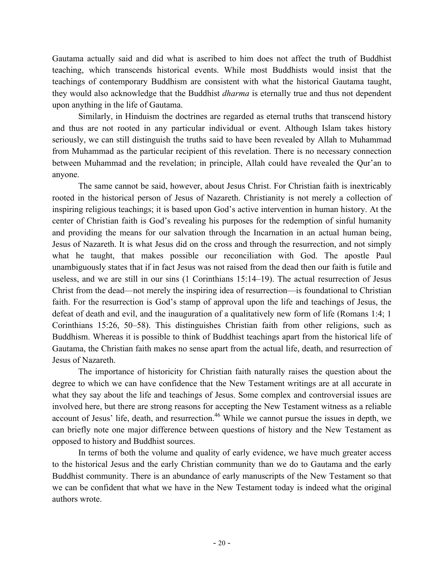Gautama actually said and did what is ascribed to him does not affect the truth of Buddhist teaching, which transcends historical events. While most Buddhists would insist that the teachings of contemporary Buddhism are consistent with what the historical Gautama taught, they would also acknowledge that the Buddhist *dharma* is eternally true and thus not dependent upon anything in the life of Gautama.

Similarly, in Hinduism the doctrines are regarded as eternal truths that transcend history and thus are not rooted in any particular individual or event. Although Islam takes history seriously, we can still distinguish the truths said to have been revealed by Allah to Muhammad from Muhammad as the particular recipient of this revelation. There is no necessary connection between Muhammad and the revelation; in principle, Allah could have revealed the Qur'an to anyone.

The same cannot be said, however, about Jesus Christ. For Christian faith is inextricably rooted in the historical person of Jesus of Nazareth. Christianity is not merely a collection of inspiring religious teachings; it is based upon God's active intervention in human history. At the center of Christian faith is God's revealing his purposes for the redemption of sinful humanity and providing the means for our salvation through the Incarnation in an actual human being, Jesus of Nazareth. It is what Jesus did on the cross and through the resurrection, and not simply what he taught, that makes possible our reconciliation with God. The apostle Paul unambiguously states that if in fact Jesus was not raised from the dead then our faith is futile and useless, and we are still in our sins (1 Corinthians 15:14–19). The actual resurrection of Jesus Christ from the dead—not merely the inspiring idea of resurrection—is foundational to Christian faith. For the resurrection is God's stamp of approval upon the life and teachings of Jesus, the defeat of death and evil, and the inauguration of a qualitatively new form of life (Romans 1:4; 1 Corinthians 15:26, 50–58). This distinguishes Christian faith from other religions, such as Buddhism. Whereas it is possible to think of Buddhist teachings apart from the historical life of Gautama, the Christian faith makes no sense apart from the actual life, death, and resurrection of Jesus of Nazareth.

The importance of historicity for Christian faith naturally raises the question about the degree to which we can have confidence that the New Testament writings are at all accurate in what they say about the life and teachings of Jesus. Some complex and controversial issues are involved here, but there are strong reasons for accepting the New Testament witness as a reliable account of Jesus' life, death, and resurrection.<sup>46</sup> While we cannot pursue the issues in depth, we can briefly note one major difference between questions of history and the New Testament as opposed to history and Buddhist sources.

In terms of both the volume and quality of early evidence, we have much greater access to the historical Jesus and the early Christian community than we do to Gautama and the early Buddhist community. There is an abundance of early manuscripts of the New Testament so that we can be confident that what we have in the New Testament today is indeed what the original authors wrote.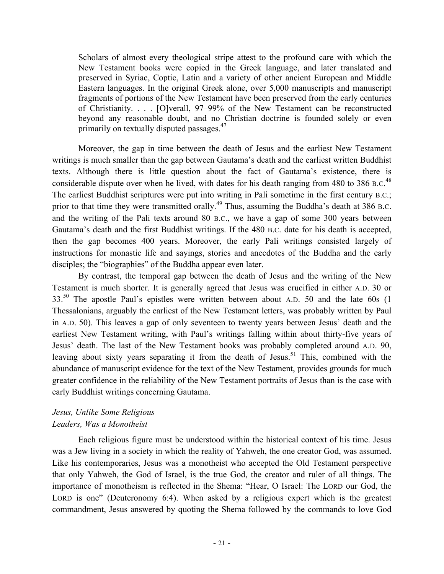Scholars of almost every theological stripe attest to the profound care with which the New Testament books were copied in the Greek language, and later translated and preserved in Syriac, Coptic, Latin and a variety of other ancient European and Middle Eastern languages. In the original Greek alone, over 5,000 manuscripts and manuscript fragments of portions of the New Testament have been preserved from the early centuries of Christianity. . . . [O]verall, 97–99% of the New Testament can be reconstructed beyond any reasonable doubt, and no Christian doctrine is founded solely or even primarily on textually disputed passages.<sup>47</sup>

Moreover, the gap in time between the death of Jesus and the earliest New Testament writings is much smaller than the gap between Gautama's death and the earliest written Buddhist texts. Although there is little question about the fact of Gautama's existence, there is considerable dispute over when he lived, with dates for his death ranging from 480 to 386 B.C.<sup>48</sup> The earliest Buddhist scriptures were put into writing in Pali sometime in the first century B.C.; prior to that time they were transmitted orally.<sup>49</sup> Thus, assuming the Buddha's death at 386 B.C. and the writing of the Pali texts around 80 B.C., we have a gap of some 300 years between Gautama's death and the first Buddhist writings. If the 480 B.C. date for his death is accepted, then the gap becomes 400 years. Moreover, the early Pali writings consisted largely of instructions for monastic life and sayings, stories and anecdotes of the Buddha and the early disciples; the "biographies" of the Buddha appear even later.

By contrast, the temporal gap between the death of Jesus and the writing of the New Testament is much shorter. It is generally agreed that Jesus was crucified in either A.D. 30 or  $33<sup>50</sup>$  The apostle Paul's epistles were written between about A.D. 50 and the late 60s (1) Thessalonians, arguably the earliest of the New Testament letters, was probably written by Paul in A.D. 50). This leaves a gap of only seventeen to twenty years between Jesus' death and the earliest New Testament writing, with Paul's writings falling within about thirty-five years of Jesus' death. The last of the New Testament books was probably completed around A.D. 90, leaving about sixty years separating it from the death of Jesus.<sup>51</sup> This, combined with the abundance of manuscript evidence for the text of the New Testament, provides grounds for much greater confidence in the reliability of the New Testament portraits of Jesus than is the case with early Buddhist writings concerning Gautama.

### *Jesus, Unlike Some Religious Leaders, Was a Monotheist*

Each religious figure must be understood within the historical context of his time. Jesus was a Jew living in a society in which the reality of Yahweh, the one creator God, was assumed. Like his contemporaries, Jesus was a monotheist who accepted the Old Testament perspective that only Yahweh, the God of Israel, is the true God, the creator and ruler of all things. The importance of monotheism is reflected in the Shema: "Hear, O Israel: The LORD our God, the LORD is one" (Deuteronomy 6:4). When asked by a religious expert which is the greatest commandment, Jesus answered by quoting the Shema followed by the commands to love God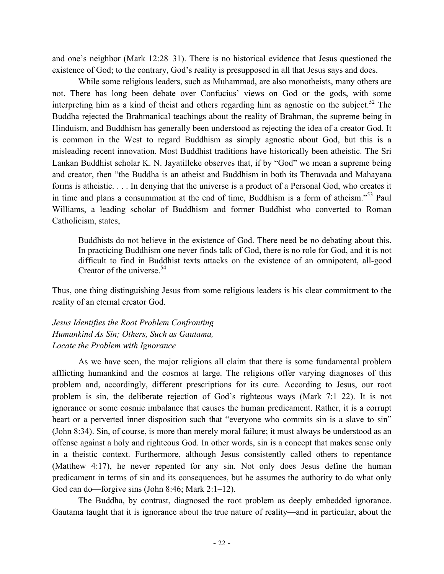and one's neighbor (Mark 12:28–31). There is no historical evidence that Jesus questioned the existence of God; to the contrary, God's reality is presupposed in all that Jesus says and does.

While some religious leaders, such as Muhammad, are also monotheists, many others are not. There has long been debate over Confucius' views on God or the gods, with some interpreting him as a kind of theist and others regarding him as agnostic on the subject.<sup>52</sup> The Buddha rejected the Brahmanical teachings about the reality of Brahman, the supreme being in Hinduism, and Buddhism has generally been understood as rejecting the idea of a creator God. It is common in the West to regard Buddhism as simply agnostic about God, but this is a misleading recent innovation. Most Buddhist traditions have historically been atheistic. The Sri Lankan Buddhist scholar K. N. Jayatilleke observes that, if by "God" we mean a supreme being and creator, then "the Buddha is an atheist and Buddhism in both its Theravada and Mahayana forms is atheistic. . . . In denying that the universe is a product of a Personal God, who creates it in time and plans a consummation at the end of time, Buddhism is a form of atheism."<sup>53</sup> Paul Williams, a leading scholar of Buddhism and former Buddhist who converted to Roman Catholicism, states,

Buddhists do not believe in the existence of God. There need be no debating about this. In practicing Buddhism one never finds talk of God, there is no role for God, and it is not difficult to find in Buddhist texts attacks on the existence of an omnipotent, all-good Creator of the universe.  $54$ 

Thus, one thing distinguishing Jesus from some religious leaders is his clear commitment to the reality of an eternal creator God.

*Jesus Identifies the Root Problem Confronting Humankind As Sin; Others, Such as Gautama, Locate the Problem with Ignorance*

As we have seen, the major religions all claim that there is some fundamental problem afflicting humankind and the cosmos at large. The religions offer varying diagnoses of this problem and, accordingly, different prescriptions for its cure. According to Jesus, our root problem is sin, the deliberate rejection of God's righteous ways (Mark 7:1–22). It is not ignorance or some cosmic imbalance that causes the human predicament. Rather, it is a corrupt heart or a perverted inner disposition such that "everyone who commits sin is a slave to sin" (John 8:34). Sin, of course, is more than merely moral failure; it must always be understood as an offense against a holy and righteous God. In other words, sin is a concept that makes sense only in a theistic context. Furthermore, although Jesus consistently called others to repentance (Matthew 4:17), he never repented for any sin. Not only does Jesus define the human predicament in terms of sin and its consequences, but he assumes the authority to do what only God can do—forgive sins (John 8:46; Mark 2:1–12).

The Buddha, by contrast, diagnosed the root problem as deeply embedded ignorance. Gautama taught that it is ignorance about the true nature of reality—and in particular, about the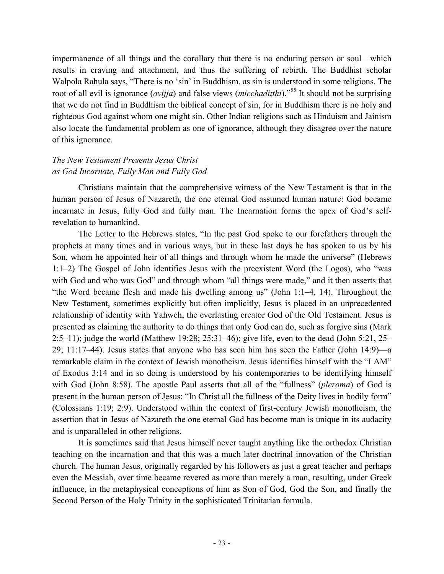impermanence of all things and the corollary that there is no enduring person or soul—which results in craving and attachment, and thus the suffering of rebirth. The Buddhist scholar Walpola Rahula says, "There is no 'sin' in Buddhism, as sin is understood in some religions. The root of all evil is ignorance (*avijja*) and false views (*micchaditthi*)." <sup>55</sup> It should not be surprising that we do not find in Buddhism the biblical concept of sin, for in Buddhism there is no holy and righteous God against whom one might sin. Other Indian religions such as Hinduism and Jainism also locate the fundamental problem as one of ignorance, although they disagree over the nature of this ignorance.

# *The New Testament Presents Jesus Christ as God Incarnate, Fully Man and Fully God*

Christians maintain that the comprehensive witness of the New Testament is that in the human person of Jesus of Nazareth, the one eternal God assumed human nature: God became incarnate in Jesus, fully God and fully man. The Incarnation forms the apex of God's selfrevelation to humankind.

The Letter to the Hebrews states, "In the past God spoke to our forefathers through the prophets at many times and in various ways, but in these last days he has spoken to us by his Son, whom he appointed heir of all things and through whom he made the universe" (Hebrews 1:1–2) The Gospel of John identifies Jesus with the preexistent Word (the Logos), who "was with God and who was God" and through whom "all things were made," and it then asserts that "the Word became flesh and made his dwelling among us" (John 1:1–4, 14). Throughout the New Testament, sometimes explicitly but often implicitly, Jesus is placed in an unprecedented relationship of identity with Yahweh, the everlasting creator God of the Old Testament. Jesus is presented as claiming the authority to do things that only God can do, such as forgive sins (Mark 2:5–11); judge the world (Matthew 19:28; 25:31–46); give life, even to the dead (John 5:21, 25– 29; 11:17–44). Jesus states that anyone who has seen him has seen the Father (John 14:9)—a remarkable claim in the context of Jewish monotheism. Jesus identifies himself with the "I AM" of Exodus 3:14 and in so doing is understood by his contemporaries to be identifying himself with God (John 8:58). The apostle Paul asserts that all of the "fullness" (*pleroma*) of God is present in the human person of Jesus: "In Christ all the fullness of the Deity lives in bodily form" (Colossians 1:19; 2:9). Understood within the context of first-century Jewish monotheism, the assertion that in Jesus of Nazareth the one eternal God has become man is unique in its audacity and is unparalleled in other religions.

It is sometimes said that Jesus himself never taught anything like the orthodox Christian teaching on the incarnation and that this was a much later doctrinal innovation of the Christian church. The human Jesus, originally regarded by his followers as just a great teacher and perhaps even the Messiah, over time became revered as more than merely a man, resulting, under Greek influence, in the metaphysical conceptions of him as Son of God, God the Son, and finally the Second Person of the Holy Trinity in the sophisticated Trinitarian formula.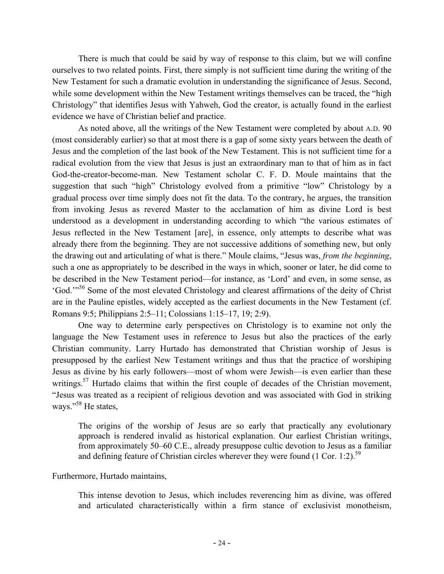There is much that could be said by way of response to this claim, but we will confine ourselves to two related points. First, there simply is not sufficient time during the writing of the New Testament for such a dramatic evolution in understanding the significance of Jesus. Second, while some development within the New Testament writings themselves can be traced, the "high Christology" that identifies Jesus with Yahweh, God the creator, is actually found in the earliest evidence we have of Christian belief and practice.

As noted above, all the writings of the New Testament were completed by about A.D. 90 (most considerably earlier) so that at most there is a gap of some sixty years between the death of Jesus and the completion of the last book of the New Testament. This is not sufficient time for a radical evolution from the view that Jesus is just an extraordinary man to that of him as in fact God-the-creator-become-man. New Testament scholar C. F. D. Moule maintains that the suggestion that such "high" Christology evolved from a primitive "low" Christology by a gradual process over time simply does not fit the data. To the contrary, he argues, the transition from invoking Jesus as revered Master to the acclamation of him as divine Lord is best understood as a development in understanding according to which "the various estimates of Jesus reflected in the New Testament [are], in essence, only attempts to describe what was already there from the beginning. They are not successive additions of something new, but only the drawing out and articulating of what is there." Moule claims, "Jesus was, *from the beginning*, such a one as appropriately to be described in the ways in which, sooner or later, he did come to be described in the New Testament period—for instance, as 'Lord' and even, in some sense, as 'God.'"56 Some of the most elevated Christology and clearest affirmations of the deity of Christ are in the Pauline epistles, widely accepted as the earliest documents in the New Testament (cf. Romans 9:5; Philippians 2:5–11; Colossians 1:15–17, 19; 2:9).

One way to determine early perspectives on Christology is to examine not only the language the New Testament uses in reference to Jesus but also the practices of the early Christian community. Larry Hurtado has demonstrated that Christian worship of Jesus is presupposed by the earliest New Testament writings and thus that the practice of worshiping Jesus as divine by his early followers—most of whom were Jewish—is even earlier than these writings.<sup>57</sup> Hurtado claims that within the first couple of decades of the Christian movement, "Jesus was treated as a recipient of religious devotion and was associated with God in striking ways."<sup>58</sup> He states,

The origins of the worship of Jesus are so early that practically any evolutionary approach is rendered invalid as historical explanation. Our earliest Christian writings, from approximately 50–60 C.E., already presuppose cultic devotion to Jesus as a familiar and defining feature of Christian circles wherever they were found  $(1 \text{ Cor. } 1:2)$ .<sup>59</sup>

#### Furthermore, Hurtado maintains,

This intense devotion to Jesus, which includes reverencing him as divine, was offered and articulated characteristically within a firm stance of exclusivist monotheism,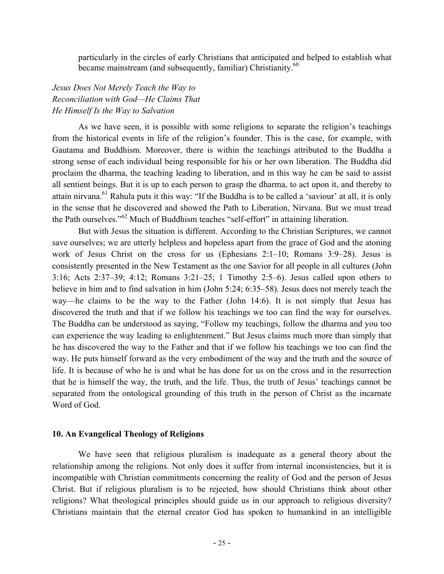particularly in the circles of early Christians that anticipated and helped to establish what became mainstream (and subsequently, familiar) Christianity.<sup>60</sup>

# *Jesus Does Not Merely Teach the Way to Reconciliation with God—He Claims That He Himself Is the Way to Salvation*

As we have seen, it is possible with some religions to separate the religion's teachings from the historical events in life of the religion's founder. This is the case, for example, with Gautama and Buddhism. Moreover, there is within the teachings attributed to the Buddha a strong sense of each individual being responsible for his or her own liberation. The Buddha did proclaim the dharma, the teaching leading to liberation, and in this way he can be said to assist all sentient beings. But it is up to each person to grasp the dharma, to act upon it, and thereby to attain nirvana.<sup>61</sup> Rahula puts it this way: "If the Buddha is to be called a 'saviour' at all, it is only in the sense that he discovered and showed the Path to Liberation, Nirvana. But we must tread the Path ourselves."<sup>62</sup> Much of Buddhism teaches "self-effort" in attaining liberation.

But with Jesus the situation is different. According to the Christian Scriptures, we cannot save ourselves; we are utterly helpless and hopeless apart from the grace of God and the atoning work of Jesus Christ on the cross for us (Ephesians 2:1–10; Romans 3:9–28). Jesus is consistently presented in the New Testament as the one Savior for all people in all cultures (John 3:16; Acts 2:37–39; 4:12; Romans 3:21–25; 1 Timothy 2:5–6). Jesus called upon others to believe in him and to find salvation in him (John 5:24; 6:35–58). Jesus does not merely teach the way—he claims to be the way to the Father (John 14:6). It is not simply that Jesus has discovered the truth and that if we follow his teachings we too can find the way for ourselves. The Buddha can be understood as saying, "Follow my teachings, follow the dharma and you too can experience the way leading to enlightenment." But Jesus claims much more than simply that he has discovered the way to the Father and that if we follow his teachings we too can find the way. He puts himself forward as the very embodiment of the way and the truth and the source of life. It is because of who he is and what he has done for us on the cross and in the resurrection that he is himself the way, the truth, and the life. Thus, the truth of Jesus' teachings cannot be separated from the ontological grounding of this truth in the person of Christ as the incarnate Word of God.

#### **10. An Evangelical Theology of Religions**

We have seen that religious pluralism is inadequate as a general theory about the relationship among the religions. Not only does it suffer from internal inconsistencies, but it is incompatible with Christian commitments concerning the reality of God and the person of Jesus Christ. But if religious pluralism is to be rejected, how should Christians think about other religions? What theological principles should guide us in our approach to religious diversity? Christians maintain that the eternal creator God has spoken to humankind in an intelligible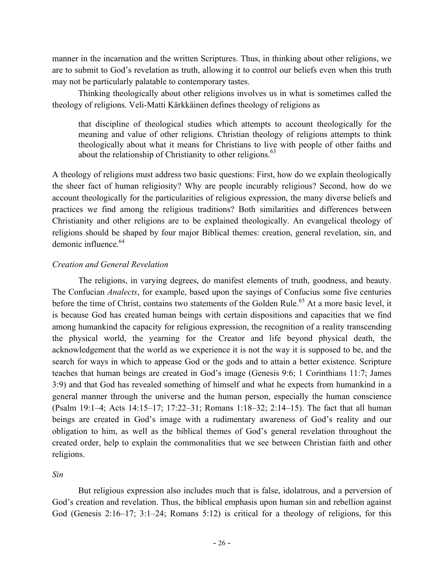manner in the incarnation and the written Scriptures. Thus, in thinking about other religions, we are to submit to God's revelation as truth, allowing it to control our beliefs even when this truth may not be particularly palatable to contemporary tastes.

Thinking theologically about other religions involves us in what is sometimes called the theology of religions. Veli-Matti Kärkkäinen defines theology of religions as

that discipline of theological studies which attempts to account theologically for the meaning and value of other religions. Christian theology of religions attempts to think theologically about what it means for Christians to live with people of other faiths and about the relationship of Christianity to other religions. $63$ 

A theology of religions must address two basic questions: First, how do we explain theologically the sheer fact of human religiosity? Why are people incurably religious? Second, how do we account theologically for the particularities of religious expression, the many diverse beliefs and practices we find among the religious traditions? Both similarities and differences between Christianity and other religions are to be explained theologically. An evangelical theology of religions should be shaped by four major Biblical themes: creation, general revelation, sin, and demonic influence  $64$ 

### *Creation and General Revelation*

The religions, in varying degrees, do manifest elements of truth, goodness, and beauty. The Confucian *Analects*, for example, based upon the sayings of Confucius some five centuries before the time of Christ, contains two statements of the Golden Rule.<sup>65</sup> At a more basic level, it is because God has created human beings with certain dispositions and capacities that we find among humankind the capacity for religious expression, the recognition of a reality transcending the physical world, the yearning for the Creator and life beyond physical death, the acknowledgement that the world as we experience it is not the way it is supposed to be, and the search for ways in which to appease God or the gods and to attain a better existence. Scripture teaches that human beings are created in God's image (Genesis 9:6; 1 Corinthians 11:7; James 3:9) and that God has revealed something of himself and what he expects from humankind in a general manner through the universe and the human person, especially the human conscience (Psalm 19:1–4; Acts 14:15–17; 17:22–31; Romans 1:18–32; 2:14–15). The fact that all human beings are created in God's image with a rudimentary awareness of God's reality and our obligation to him, as well as the biblical themes of God's general revelation throughout the created order, help to explain the commonalities that we see between Christian faith and other religions.

*Sin*

But religious expression also includes much that is false, idolatrous, and a perversion of God's creation and revelation. Thus, the biblical emphasis upon human sin and rebellion against God (Genesis 2:16–17; 3:1–24; Romans 5:12) is critical for a theology of religions, for this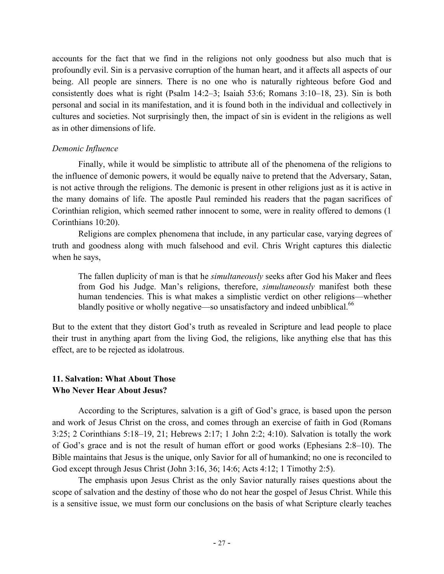accounts for the fact that we find in the religions not only goodness but also much that is profoundly evil. Sin is a pervasive corruption of the human heart, and it affects all aspects of our being. All people are sinners. There is no one who is naturally righteous before God and consistently does what is right (Psalm 14:2–3; Isaiah 53:6; Romans 3:10–18, 23). Sin is both personal and social in its manifestation, and it is found both in the individual and collectively in cultures and societies. Not surprisingly then, the impact of sin is evident in the religions as well as in other dimensions of life.

### *Demonic Influence*

Finally, while it would be simplistic to attribute all of the phenomena of the religions to the influence of demonic powers, it would be equally naive to pretend that the Adversary, Satan, is not active through the religions. The demonic is present in other religions just as it is active in the many domains of life. The apostle Paul reminded his readers that the pagan sacrifices of Corinthian religion, which seemed rather innocent to some, were in reality offered to demons (1 Corinthians 10:20).

Religions are complex phenomena that include, in any particular case, varying degrees of truth and goodness along with much falsehood and evil. Chris Wright captures this dialectic when he says,

The fallen duplicity of man is that he *simultaneously* seeks after God his Maker and flees from God his Judge. Man's religions, therefore, *simultaneously* manifest both these human tendencies. This is what makes a simplistic verdict on other religions—whether blandly positive or wholly negative—so unsatisfactory and indeed unbiblical.<sup>66</sup>

But to the extent that they distort God's truth as revealed in Scripture and lead people to place their trust in anything apart from the living God, the religions, like anything else that has this effect, are to be rejected as idolatrous.

## **11. Salvation: What About Those Who Never Hear About Jesus?**

According to the Scriptures, salvation is a gift of God's grace, is based upon the person and work of Jesus Christ on the cross, and comes through an exercise of faith in God (Romans 3:25; 2 Corinthians 5:18–19, 21; Hebrews 2:17; 1 John 2:2; 4:10). Salvation is totally the work of God's grace and is not the result of human effort or good works (Ephesians 2:8–10). The Bible maintains that Jesus is the unique, only Savior for all of humankind; no one is reconciled to God except through Jesus Christ (John 3:16, 36; 14:6; Acts 4:12; 1 Timothy 2:5).

The emphasis upon Jesus Christ as the only Savior naturally raises questions about the scope of salvation and the destiny of those who do not hear the gospel of Jesus Christ. While this is a sensitive issue, we must form our conclusions on the basis of what Scripture clearly teaches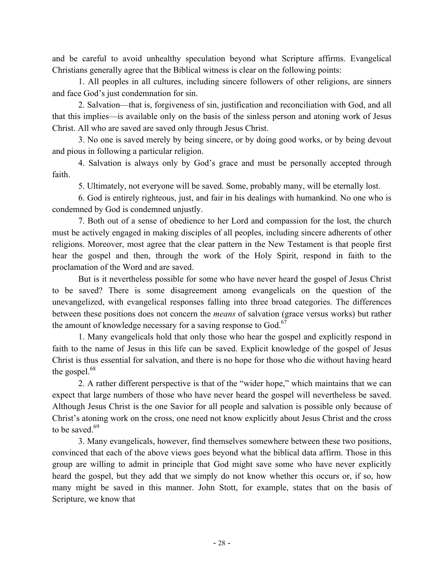and be careful to avoid unhealthy speculation beyond what Scripture affirms. Evangelical Christians generally agree that the Biblical witness is clear on the following points:

1. All peoples in all cultures, including sincere followers of other religions, are sinners and face God's just condemnation for sin.

2. Salvation—that is, forgiveness of sin, justification and reconciliation with God, and all that this implies—is available only on the basis of the sinless person and atoning work of Jesus Christ. All who are saved are saved only through Jesus Christ.

3. No one is saved merely by being sincere, or by doing good works, or by being devout and pious in following a particular religion.

4. Salvation is always only by God's grace and must be personally accepted through faith.

5. Ultimately, not everyone will be saved. Some, probably many, will be eternally lost.

6. God is entirely righteous, just, and fair in his dealings with humankind. No one who is condemned by God is condemned unjustly.

7. Both out of a sense of obedience to her Lord and compassion for the lost, the church must be actively engaged in making disciples of all peoples, including sincere adherents of other religions. Moreover, most agree that the clear pattern in the New Testament is that people first hear the gospel and then, through the work of the Holy Spirit, respond in faith to the proclamation of the Word and are saved.

But is it nevertheless possible for some who have never heard the gospel of Jesus Christ to be saved? There is some disagreement among evangelicals on the question of the unevangelized, with evangelical responses falling into three broad categories. The differences between these positions does not concern the *means* of salvation (grace versus works) but rather the amount of knowledge necessary for a saving response to God. $67$ 

1. Many evangelicals hold that only those who hear the gospel and explicitly respond in faith to the name of Jesus in this life can be saved. Explicit knowledge of the gospel of Jesus Christ is thus essential for salvation, and there is no hope for those who die without having heard the gospel. $68$ 

2. A rather different perspective is that of the "wider hope," which maintains that we can expect that large numbers of those who have never heard the gospel will nevertheless be saved. Although Jesus Christ is the one Savior for all people and salvation is possible only because of Christ's atoning work on the cross, one need not know explicitly about Jesus Christ and the cross to be saved.<sup>69</sup>

3. Many evangelicals, however, find themselves somewhere between these two positions, convinced that each of the above views goes beyond what the biblical data affirm. Those in this group are willing to admit in principle that God might save some who have never explicitly heard the gospel, but they add that we simply do not know whether this occurs or, if so, how many might be saved in this manner. John Stott, for example, states that on the basis of Scripture, we know that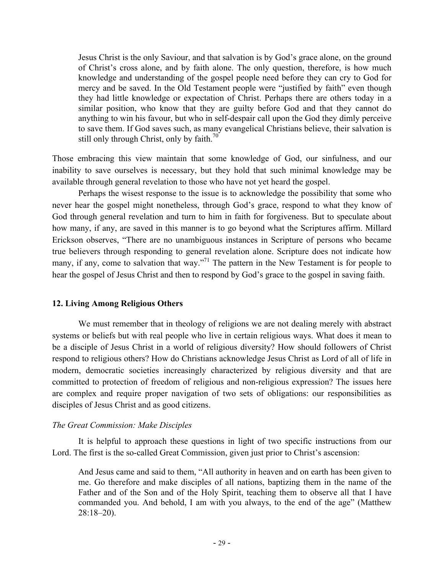Jesus Christ is the only Saviour, and that salvation is by God's grace alone, on the ground of Christ's cross alone, and by faith alone. The only question, therefore, is how much knowledge and understanding of the gospel people need before they can cry to God for mercy and be saved. In the Old Testament people were "justified by faith" even though they had little knowledge or expectation of Christ. Perhaps there are others today in a similar position, who know that they are guilty before God and that they cannot do anything to win his favour, but who in self-despair call upon the God they dimly perceive to save them. If God saves such, as many evangelical Christians believe, their salvation is still only through Christ, only by faith. $70^\circ$ 

Those embracing this view maintain that some knowledge of God, our sinfulness, and our inability to save ourselves is necessary, but they hold that such minimal knowledge may be available through general revelation to those who have not yet heard the gospel.

Perhaps the wisest response to the issue is to acknowledge the possibility that some who never hear the gospel might nonetheless, through God's grace, respond to what they know of God through general revelation and turn to him in faith for forgiveness. But to speculate about how many, if any, are saved in this manner is to go beyond what the Scriptures affirm. Millard Erickson observes, "There are no unambiguous instances in Scripture of persons who became true believers through responding to general revelation alone. Scripture does not indicate how many, if any, come to salvation that way."<sup>71</sup> The pattern in the New Testament is for people to hear the gospel of Jesus Christ and then to respond by God's grace to the gospel in saving faith.

#### **12. Living Among Religious Others**

We must remember that in theology of religions we are not dealing merely with abstract systems or beliefs but with real people who live in certain religious ways. What does it mean to be a disciple of Jesus Christ in a world of religious diversity? How should followers of Christ respond to religious others? How do Christians acknowledge Jesus Christ as Lord of all of life in modern, democratic societies increasingly characterized by religious diversity and that are committed to protection of freedom of religious and non-religious expression? The issues here are complex and require proper navigation of two sets of obligations: our responsibilities as disciples of Jesus Christ and as good citizens.

### *The Great Commission: Make Disciples*

It is helpful to approach these questions in light of two specific instructions from our Lord. The first is the so-called Great Commission, given just prior to Christ's ascension:

And Jesus came and said to them, "All authority in heaven and on earth has been given to me. Go therefore and make disciples of all nations, baptizing them in the name of the Father and of the Son and of the Holy Spirit, teaching them to observe all that I have commanded you. And behold, I am with you always, to the end of the age" (Matthew 28:18–20).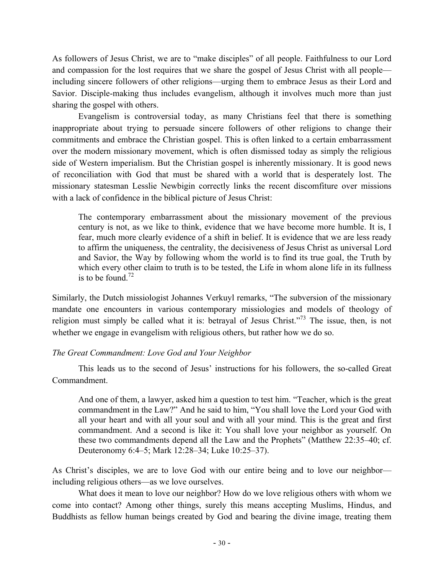As followers of Jesus Christ, we are to "make disciples" of all people. Faithfulness to our Lord and compassion for the lost requires that we share the gospel of Jesus Christ with all people including sincere followers of other religions—urging them to embrace Jesus as their Lord and Savior. Disciple-making thus includes evangelism, although it involves much more than just sharing the gospel with others.

Evangelism is controversial today, as many Christians feel that there is something inappropriate about trying to persuade sincere followers of other religions to change their commitments and embrace the Christian gospel. This is often linked to a certain embarrassment over the modern missionary movement, which is often dismissed today as simply the religious side of Western imperialism. But the Christian gospel is inherently missionary. It is good news of reconciliation with God that must be shared with a world that is desperately lost. The missionary statesman Lesslie Newbigin correctly links the recent discomfiture over missions with a lack of confidence in the biblical picture of Jesus Christ:

The contemporary embarrassment about the missionary movement of the previous century is not, as we like to think, evidence that we have become more humble. It is, I fear, much more clearly evidence of a shift in belief. It is evidence that we are less ready to affirm the uniqueness, the centrality, the decisiveness of Jesus Christ as universal Lord and Savior, the Way by following whom the world is to find its true goal, the Truth by which every other claim to truth is to be tested, the Life in whom alone life in its fullness is to be found  $72$ 

Similarly, the Dutch missiologist Johannes Verkuyl remarks, "The subversion of the missionary mandate one encounters in various contemporary missiologies and models of theology of religion must simply be called what it is: betrayal of Jesus Christ."<sup>73</sup> The issue, then, is not whether we engage in evangelism with religious others, but rather how we do so.

*The Great Commandment: Love God and Your Neighbor*

This leads us to the second of Jesus' instructions for his followers, the so-called Great Commandment.

And one of them, a lawyer, asked him a question to test him. "Teacher, which is the great commandment in the Law?" And he said to him, "You shall love the Lord your God with all your heart and with all your soul and with all your mind. This is the great and first commandment. And a second is like it: You shall love your neighbor as yourself. On these two commandments depend all the Law and the Prophets" (Matthew 22:35–40; cf. Deuteronomy 6:4–5; Mark 12:28–34; Luke 10:25–37).

As Christ's disciples, we are to love God with our entire being and to love our neighbor including religious others—as we love ourselves.

What does it mean to love our neighbor? How do we love religious others with whom we come into contact? Among other things, surely this means accepting Muslims, Hindus, and Buddhists as fellow human beings created by God and bearing the divine image, treating them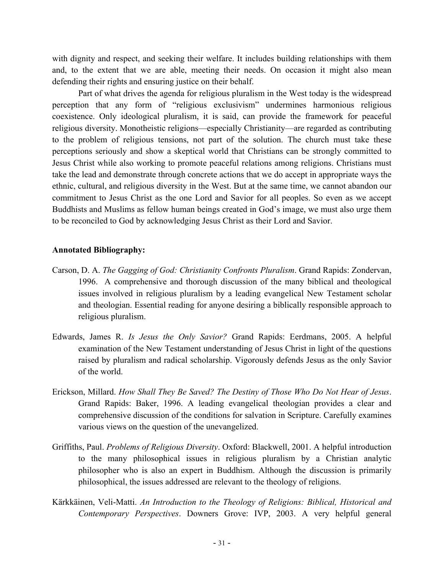with dignity and respect, and seeking their welfare. It includes building relationships with them and, to the extent that we are able, meeting their needs. On occasion it might also mean defending their rights and ensuring justice on their behalf.

Part of what drives the agenda for religious pluralism in the West today is the widespread perception that any form of "religious exclusivism" undermines harmonious religious coexistence. Only ideological pluralism, it is said, can provide the framework for peaceful religious diversity. Monotheistic religions—especially Christianity—are regarded as contributing to the problem of religious tensions, not part of the solution. The church must take these perceptions seriously and show a skeptical world that Christians can be strongly committed to Jesus Christ while also working to promote peaceful relations among religions. Christians must take the lead and demonstrate through concrete actions that we do accept in appropriate ways the ethnic, cultural, and religious diversity in the West. But at the same time, we cannot abandon our commitment to Jesus Christ as the one Lord and Savior for all peoples. So even as we accept Buddhists and Muslims as fellow human beings created in God's image, we must also urge them to be reconciled to God by acknowledging Jesus Christ as their Lord and Savior.

#### **Annotated Bibliography:**

- Carson, D. A. *The Gagging of God: Christianity Confronts Pluralism*. Grand Rapids: Zondervan, 1996. A comprehensive and thorough discussion of the many biblical and theological issues involved in religious pluralism by a leading evangelical New Testament scholar and theologian. Essential reading for anyone desiring a biblically responsible approach to religious pluralism.
- Edwards, James R. *Is Jesus the Only Savior?* Grand Rapids: Eerdmans, 2005. A helpful examination of the New Testament understanding of Jesus Christ in light of the questions raised by pluralism and radical scholarship. Vigorously defends Jesus as the only Savior of the world.
- Erickson, Millard. *How Shall They Be Saved? The Destiny of Those Who Do Not Hear of Jesus*. Grand Rapids: Baker, 1996. A leading evangelical theologian provides a clear and comprehensive discussion of the conditions for salvation in Scripture. Carefully examines various views on the question of the unevangelized.
- Griffiths, Paul. *Problems of Religious Diversity*. Oxford: Blackwell, 2001. A helpful introduction to the many philosophical issues in religious pluralism by a Christian analytic philosopher who is also an expert in Buddhism. Although the discussion is primarily philosophical, the issues addressed are relevant to the theology of religions.
- Kärkkäinen, Veli-Matti. *An Introduction to the Theology of Religions: Biblical, Historical and Contemporary Perspectives*. Downers Grove: IVP, 2003. A very helpful general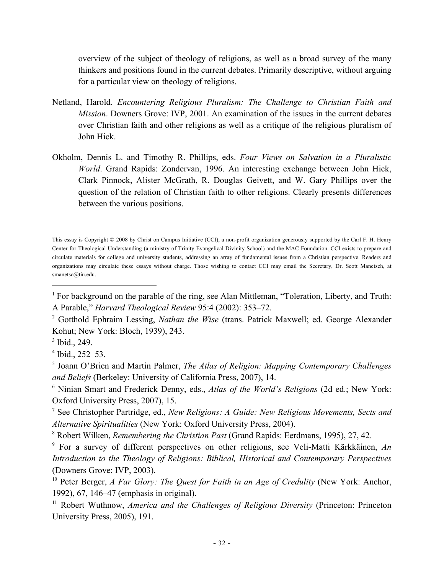overview of the subject of theology of religions, as well as a broad survey of the many thinkers and positions found in the current debates. Primarily descriptive, without arguing for a particular view on theology of religions.

- Netland, Harold. *Encountering Religious Pluralism: The Challenge to Christian Faith and Mission*. Downers Grove: IVP, 2001. An examination of the issues in the current debates over Christian faith and other religions as well as a critique of the religious pluralism of John Hick.
- Okholm, Dennis L. and Timothy R. Phillips, eds. *Four Views on Salvation in a Pluralistic World*. Grand Rapids: Zondervan, 1996. An interesting exchange between John Hick, Clark Pinnock, Alister McGrath, R. Douglas Geivett, and W. Gary Phillips over the question of the relation of Christian faith to other religions. Clearly presents differences between the various positions.

This essay is Copyright © 2008 by Christ on Campus Initiative (CCI), a non-profit organization generously supported by the Carl F. H. Henry Center for Theological Understanding (a ministry of Trinity Evangelical Divinity School) and the MAC Foundation. CCI exists to prepare and circulate materials for college and university students, addressing an array of fundamental issues from a Christian perspective. Readers and organizations may circulate these essays without charge. Those wishing to contact CCI may email the Secretary, Dr. Scott Manetsch, at smanetsc@tiu.edu.

<sup>&</sup>lt;sup>1</sup> For background on the parable of the ring, see Alan Mittleman, "Toleration, Liberty, and Truth: A Parable," *Harvard Theological Review* 95:4 (2002): 353–72.

<sup>2</sup> Gotthold Ephraim Lessing, *Nathan the Wise* (trans. Patrick Maxwell; ed. George Alexander Kohut; New York: Bloch, 1939), 243.

 $3$  Ibid., 249.

 $4$  Ibid., 252–53.

<sup>5</sup> Joann O'Brien and Martin Palmer, *The Atlas of Religion: Mapping Contemporary Challenges and Beliefs* (Berkeley: University of California Press, 2007), 14.

<sup>6</sup> Ninian Smart and Frederick Denny, eds., *Atlas of the World's Religions* (2d ed.; New York: Oxford University Press, 2007), 15.

<sup>7</sup> See Christopher Partridge, ed., *New Religions: A Guide: New Religious Movements, Sects and Alternative Spiritualities* (New York: Oxford University Press, 2004).

<sup>8</sup> Robert Wilken, *Remembering the Christian Past* (Grand Rapids: Eerdmans, 1995), 27, 42.

<sup>9</sup> For a survey of different perspectives on other religions, see Veli-Matti Kärkkäinen, *An Introduction to the Theology of Religions: Biblical, Historical and Contemporary Perspectives* (Downers Grove: IVP, 2003).

<sup>&</sup>lt;sup>10</sup> Peter Berger, *A Far Glory: The Quest for Faith in an Age of Credulity* (New York: Anchor, 1992), 67, 146–47 (emphasis in original).

<sup>&</sup>lt;sup>11</sup> Robert Wuthnow, *America and the Challenges of Religious Diversity* (Princeton: Princeton University Press, 2005), 191.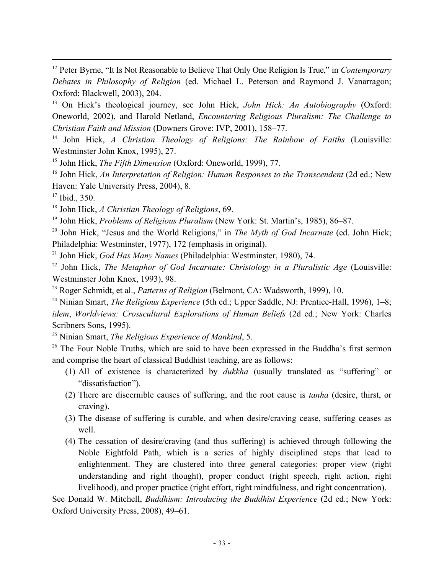<sup>12</sup> Peter Byrne, "It Is Not Reasonable to Believe That Only One Religion Is True," in *Contemporary Debates in Philosophy of Religion* (ed. Michael L. Peterson and Raymond J. Vanarragon; Oxford: Blackwell, 2003), 204.

<sup>13</sup> On Hick's theological journey, see John Hick, *John Hick: An Autobiography* (Oxford: Oneworld, 2002), and Harold Netland, *Encountering Religious Pluralism: The Challenge to Christian Faith and Mission* (Downers Grove: IVP, 2001), 158–77.

<sup>14</sup> John Hick, *A Christian Theology of Religions: The Rainbow of Faiths* (Louisville: Westminster John Knox, 1995), 27.

<sup>15</sup> John Hick, *The Fifth Dimension* (Oxford: Oneworld, 1999), 77.

<sup>16</sup> John Hick, An Interpretation of Religion: Human Responses to the Transcendent (2d ed.; New Haven: Yale University Press, 2004), 8.

<sup>17</sup> Ibid., 350.

<sup>18</sup> John Hick, *A Christian Theology of Religions*, 69.

<sup>19</sup> John Hick, *Problems of Religious Pluralism* (New York: St. Martin's, 1985), 86–87.

<sup>20</sup> John Hick, "Jesus and the World Religions," in *The Myth of God Incarnate* (ed. John Hick; Philadelphia: Westminster, 1977), 172 (emphasis in original).

<sup>21</sup> John Hick, *God Has Many Names* (Philadelphia: Westminster, 1980), 74.

<sup>22</sup> John Hick, *The Metaphor of God Incarnate: Christology in a Pluralistic Age* (Louisville: Westminster John Knox, 1993), 98.

<sup>23</sup> Roger Schmidt, et al., *Patterns of Religion* (Belmont, CA: Wadsworth, 1999), 10.

<sup>24</sup> Ninian Smart, *The Religious Experience* (5th ed.; Upper Saddle, NJ: Prentice-Hall, 1996), 1–8; *idem*, *Worldviews: Crosscultural Explorations of Human Beliefs* (2d ed.; New York: Charles Scribners Sons, 1995).

<sup>25</sup> Ninian Smart, *The Religious Experience of Mankind*, 5.

 $26$  The Four Noble Truths, which are said to have been expressed in the Buddha's first sermon and comprise the heart of classical Buddhist teaching, are as follows:

- (1) All of existence is characterized by *dukkha* (usually translated as "suffering" or "dissatisfaction").
- (2) There are discernible causes of suffering, and the root cause is *tanha* (desire, thirst, or craving).
- (3) The disease of suffering is curable, and when desire/craving cease, suffering ceases as well.
- (4) The cessation of desire/craving (and thus suffering) is achieved through following the Noble Eightfold Path, which is a series of highly disciplined steps that lead to enlightenment. They are clustered into three general categories: proper view (right understanding and right thought), proper conduct (right speech, right action, right livelihood), and proper practice (right effort, right mindfulness, and right concentration).

See Donald W. Mitchell, *Buddhism: Introducing the Buddhist Experience* (2d ed.; New York: Oxford University Press, 2008), 49–61.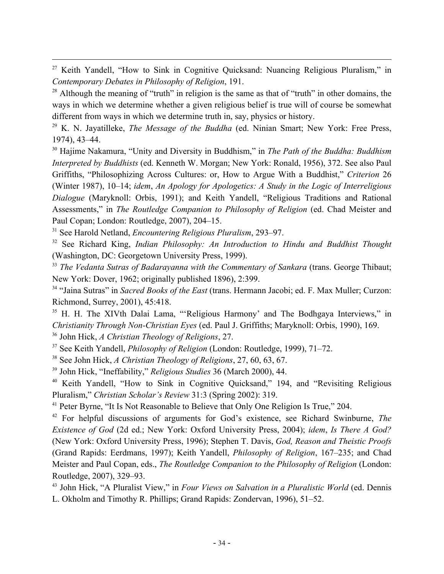<sup>27</sup> Keith Yandell, "How to Sink in Cognitive Ouicksand: Nuancing Religious Pluralism," in *Contemporary Debates in Philosophy of Religion*, 191.

 $28$  Although the meaning of "truth" in religion is the same as that of "truth" in other domains, the ways in which we determine whether a given religious belief is true will of course be somewhat different from ways in which we determine truth in, say, physics or history.

<sup>29</sup> K. N. Jayatilleke, *The Message of the Buddha* (ed. Ninian Smart; New York: Free Press, 1974), 43–44.

<sup>30</sup> Hajime Nakamura, "Unity and Diversity in Buddhism," in *The Path of the Buddha: Buddhism Interpreted by Buddhists* (ed. Kenneth W. Morgan; New York: Ronald, 1956), 372. See also Paul Griffiths, "Philosophizing Across Cultures: or, How to Argue With a Buddhist," *Criterion* 26 (Winter 1987), 10–14; *idem*, *An Apology for Apologetics: A Study in the Logic of Interreligious Dialogue* (Maryknoll: Orbis, 1991); and Keith Yandell, "Religious Traditions and Rational Assessments," in *The Routledge Companion to Philosophy of Religion* (ed. Chad Meister and Paul Copan; London: Routledge, 2007), 204–15.

<sup>31</sup> See Harold Netland, *Encountering Religious Pluralism*, 293–97.

<sup>32</sup> See Richard King, *Indian Philosophy: An Introduction to Hindu and Buddhist Thought* (Washington, DC: Georgetown University Press, 1999).

<sup>33</sup> *The Vedanta Sutras of Badarayanna with the Commentary of Sankara* (trans. George Thibaut; New York: Dover, 1962; originally published 1896), 2:399.

<sup>34</sup> "Jaina Sutras" in *Sacred Books of the East* (trans. Hermann Jacobi; ed. F. Max Muller; Curzon: Richmond, Surrey, 2001), 45:418.

<sup>35</sup> H. H. The XIVth Dalai Lama, "'Religious Harmony' and The Bodhgaya Interviews," in *Christianity Through Non-Christian Eyes* (ed. Paul J. Griffiths; Maryknoll: Orbis, 1990), 169.

<sup>36</sup> John Hick, *A Christian Theology of Religions*, 27.

<sup>37</sup> See Keith Yandell, *Philosophy of Religion* (London: Routledge, 1999), 71–72.

<sup>38</sup> See John Hick, *A Christian Theology of Religions*, 27, 60, 63, 67.

<sup>39</sup> John Hick, "Ineffability," *Religious Studies* 36 (March 2000), 44.

<sup>40</sup> Keith Yandell, "How to Sink in Cognitive Quicksand," 194, and "Revisiting Religious Pluralism," *Christian Scholar's Review* 31:3 (Spring 2002): 319.

<sup>41</sup> Peter Byrne, "It Is Not Reasonable to Believe that Only One Religion Is True," 204.

<sup>42</sup> For helpful discussions of arguments for God's existence, see Richard Swinburne, *The Existence of God* (2d ed.; New York: Oxford University Press, 2004); *idem*, *Is There A God?* (New York: Oxford University Press, 1996); Stephen T. Davis, *God, Reason and Theistic Proofs* (Grand Rapids: Eerdmans, 1997); Keith Yandell, *Philosophy of Religion*, 167–235; and Chad Meister and Paul Copan, eds., *The Routledge Companion to the Philosophy of Religion* (London: Routledge, 2007), 329–93.

<sup>43</sup> John Hick, "A Pluralist View," in *Four Views on Salvation in a Pluralistic World* (ed. Dennis L. Okholm and Timothy R. Phillips; Grand Rapids: Zondervan, 1996), 51–52.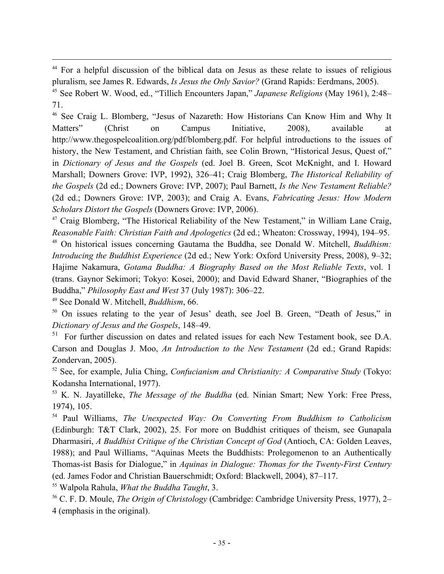<sup>44</sup> For a helpful discussion of the biblical data on Jesus as these relate to issues of religious pluralism, see James R. Edwards, *Is Jesus the Only Savior?* (Grand Rapids: Eerdmans, 2005).

<sup>45</sup> See Robert W. Wood, ed., "Tillich Encounters Japan," *Japanese Religions* (May 1961), 2:48– 71.

<sup>46</sup> See Craig L. Blomberg, "Jesus of Nazareth: How Historians Can Know Him and Why It Matters" (Christ on Campus Initiative, 2008), available at http://www.thegospelcoalition.org/pdf/blomberg.pdf. For helpful introductions to the issues of history, the New Testament, and Christian faith, see Colin Brown, "Historical Jesus, Quest of," in *Dictionary of Jesus and the Gospels* (ed. Joel B. Green, Scot McKnight, and I. Howard Marshall; Downers Grove: IVP, 1992), 326–41; Craig Blomberg, *The Historical Reliability of the Gospels* (2d ed.; Downers Grove: IVP, 2007); Paul Barnett, *Is the New Testament Reliable?* (2d ed.; Downers Grove: IVP, 2003); and Craig A. Evans, *Fabricating Jesus: How Modern Scholars Distort the Gospels* (Downers Grove: IVP, 2006).

 $47$  Craig Blomberg, "The Historical Reliability of the New Testament," in William Lane Craig, *Reasonable Faith: Christian Faith and Apologetics* (2d ed.; Wheaton: Crossway, 1994), 194–95.

<sup>48</sup> On historical issues concerning Gautama the Buddha, see Donald W. Mitchell, *Buddhism: Introducing the Buddhist Experience* (2d ed.; New York: Oxford University Press, 2008), 9–32; Hajime Nakamura, *Gotama Buddha: A Biography Based on the Most Reliable Texts*, vol. 1 (trans. Gaynor Sekimori; Tokyo: Kosei, 2000); and David Edward Shaner, "Biographies of the Buddha," *Philosophy East and West* 37 (July 1987): 306–22.

<sup>49</sup> See Donald W. Mitchell, *Buddhism*, 66.

<sup>50</sup> On issues relating to the year of Jesus' death, see Joel B. Green, "Death of Jesus," in *Dictionary of Jesus and the Gospels*, 148–49.

<sup>51</sup> For further discussion on dates and related issues for each New Testament book, see D.A. Carson and Douglas J. Moo, *An Introduction to the New Testament* (2d ed.; Grand Rapids: Zondervan, 2005).

<sup>52</sup> See, for example, Julia Ching, *Confucianism and Christianity: A Comparative Study* (Tokyo: Kodansha International, 1977).

<sup>53</sup> K. N. Jayatilleke, *The Message of the Buddha* (ed. Ninian Smart; New York: Free Press, 1974), 105.

<sup>54</sup> Paul Williams, *The Unexpected Way: On Converting From Buddhism to Catholicism* (Edinburgh: T&T Clark, 2002), 25. For more on Buddhist critiques of theism, see Gunapala Dharmasiri, *A Buddhist Critique of the Christian Concept of God* (Antioch, CA: Golden Leaves, 1988); and Paul Williams, "Aquinas Meets the Buddhists: Prolegomenon to an Authentically Thomas-ist Basis for Dialogue," in *Aquinas in Dialogue: Thomas for the Twenty-First Century* (ed. James Fodor and Christian Bauerschmidt; Oxford: Blackwell, 2004), 87–117.

<sup>55</sup> Walpola Rahula, *What the Buddha Taught*, 3.

<sup>56</sup> C. F. D. Moule, *The Origin of Christology* (Cambridge: Cambridge University Press, 1977), 2– 4 (emphasis in the original).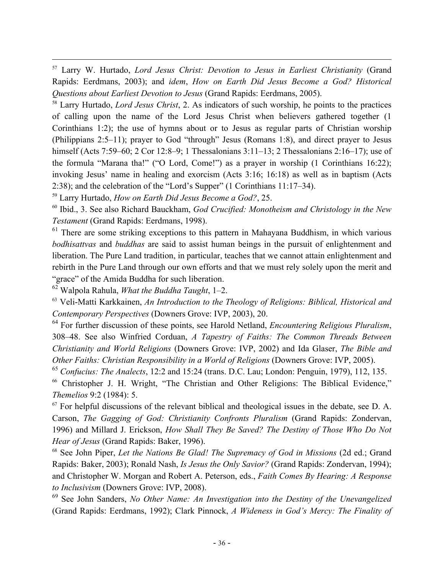57 Larry W. Hurtado, *Lord Jesus Christ: Devotion to Jesus in Earliest Christianity* (Grand Rapids: Eerdmans, 2003); and *idem*, *How on Earth Did Jesus Become a God? Historical Questions about Earliest Devotion to Jesus* (Grand Rapids: Eerdmans, 2005).

<sup>58</sup> Larry Hurtado, *Lord Jesus Christ*, 2. As indicators of such worship, he points to the practices of calling upon the name of the Lord Jesus Christ when believers gathered together (1 Corinthians 1:2); the use of hymns about or to Jesus as regular parts of Christian worship (Philippians 2:5–11); prayer to God "through" Jesus (Romans 1:8), and direct prayer to Jesus himself (Acts 7:59–60; 2 Cor 12:8–9; 1 Thessalonians 3:11–13; 2 Thessalonians 2:16–17); use of the formula "Marana tha!" ("O Lord, Come!") as a prayer in worship (1 Corinthians 16:22); invoking Jesus' name in healing and exorcism (Acts 3:16; 16:18) as well as in baptism (Acts 2:38); and the celebration of the "Lord's Supper" (1 Corinthians 11:17–34).

<sup>59</sup> Larry Hurtado, *How on Earth Did Jesus Become a God?*, 25.

<sup>60</sup> Ibid., 3. See also Richard Bauckham, *God Crucified: Monotheism and Christology in the New Testament* (Grand Rapids: Eerdmans, 1998).

 $61$  There are some striking exceptions to this pattern in Mahayana Buddhism, in which various *bodhisattvas* and *buddhas* are said to assist human beings in the pursuit of enlightenment and liberation. The Pure Land tradition, in particular, teaches that we cannot attain enlightenment and rebirth in the Pure Land through our own efforts and that we must rely solely upon the merit and "grace" of the Amida Buddha for such liberation.

<sup>62</sup> Walpola Rahula, *What the Buddha Taught*, 1–2.

<sup>63</sup> Veli-Matti Karkkainen, *An Introduction to the Theology of Religions: Biblical, Historical and Contemporary Perspectives* (Downers Grove: IVP, 2003), 20.

<sup>64</sup> For further discussion of these points, see Harold Netland, *Encountering Religious Pluralism*, 308–48. See also Winfried Corduan, *A Tapestry of Faiths: The Common Threads Between Christianity and World Religions* (Downers Grove: IVP, 2002) and Ida Glaser, *The Bible and Other Faiths: Christian Responsibility in a World of Religions* (Downers Grove: IVP, 2005).

<sup>65</sup> *Confucius: The Analects*, 12:2 and 15:24 (trans. D.C. Lau; London: Penguin, 1979), 112, 135.

<sup>66</sup> Christopher J. H. Wright, "The Christian and Other Religions: The Biblical Evidence," *Themelios* 9:2 (1984): 5.

 $67$  For helpful discussions of the relevant biblical and theological issues in the debate, see D. A. Carson, *The Gagging of God: Christianity Confronts Pluralism* (Grand Rapids: Zondervan, 1996) and Millard J. Erickson, *How Shall They Be Saved? The Destiny of Those Who Do Not Hear of Jesus* (Grand Rapids: Baker, 1996).

<sup>68</sup> See John Piper, *Let the Nations Be Glad! The Supremacy of God in Missions* (2d ed.; Grand Rapids: Baker, 2003); Ronald Nash, *Is Jesus the Only Savior?* (Grand Rapids: Zondervan, 1994); and Christopher W. Morgan and Robert A. Peterson, eds., *Faith Comes By Hearing: A Response to Inclusivism* (Downers Grove: IVP, 2008).

<sup>69</sup> See John Sanders, *No Other Name: An Investigation into the Destiny of the Unevangelized* (Grand Rapids: Eerdmans, 1992); Clark Pinnock, *A Wideness in God's Mercy: The Finality of*